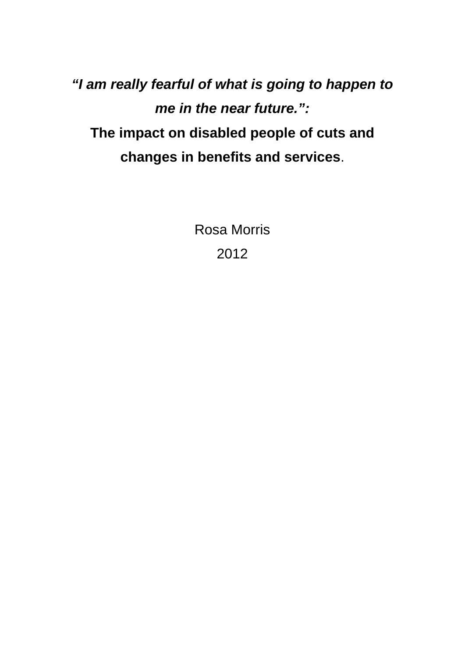*"I am really fearful of what is going to happen to me in the near future.":*  **The impact on disabled people of cuts and changes in benefits and services**.

> Rosa Morris 2012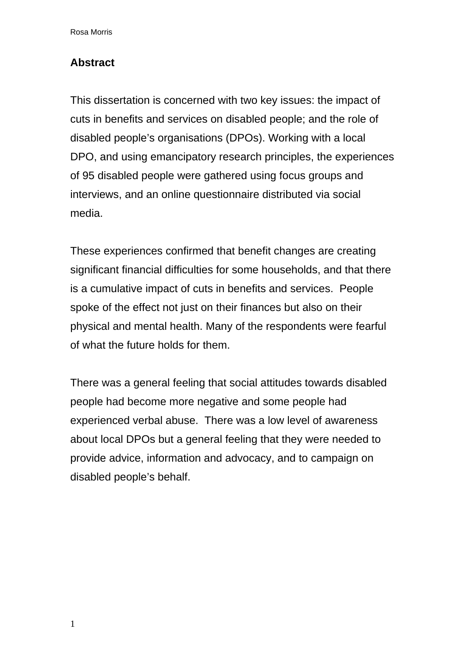## **Abstract**

This dissertation is concerned with two key issues: the impact of cuts in benefits and services on disabled people; and the role of disabled people's organisations (DPOs). Working with a local DPO, and using emancipatory research principles, the experiences of 95 disabled people were gathered using focus groups and interviews, and an online questionnaire distributed via social media.

These experiences confirmed that benefit changes are creating significant financial difficulties for some households, and that there is a cumulative impact of cuts in benefits and services. People spoke of the effect not just on their finances but also on their physical and mental health. Many of the respondents were fearful of what the future holds for them.

There was a general feeling that social attitudes towards disabled people had become more negative and some people had experienced verbal abuse. There was a low level of awareness about local DPOs but a general feeling that they were needed to provide advice, information and advocacy, and to campaign on disabled people's behalf.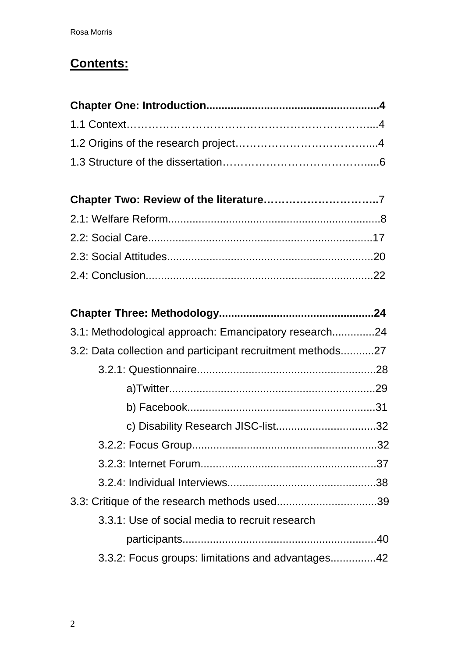# **Contents:**

| 3.1: Methodological approach: Emancipatory research24      |  |
|------------------------------------------------------------|--|
| 3.2: Data collection and participant recruitment methods27 |  |
|                                                            |  |
|                                                            |  |
|                                                            |  |
| c) Disability Research JISC-list32                         |  |
|                                                            |  |
|                                                            |  |
|                                                            |  |
| 3.3: Critique of the research methods used39               |  |
| 3.3.1: Use of social media to recruit research             |  |
|                                                            |  |
| 3.3.2: Focus groups: limitations and advantages42          |  |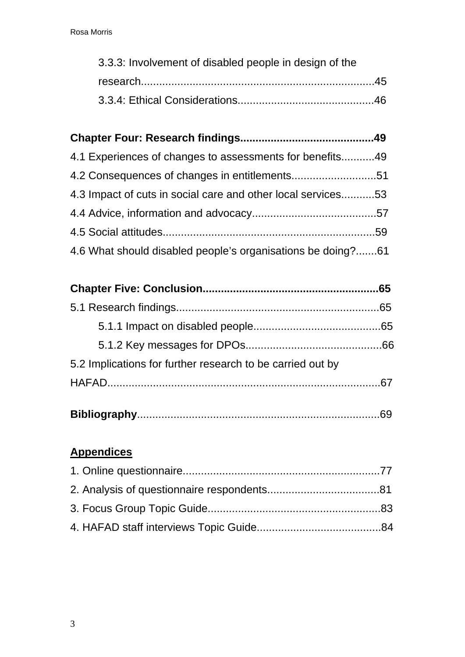| 3.3.3: Involvement of disabled people in design of the |  |
|--------------------------------------------------------|--|
|                                                        |  |
|                                                        |  |

# **Chapter Four: Research findings............................................49**  4.1 Experiences of changes to assessments for benefits...........49 4.2 Consequences of changes in entitlements............................51 4.3 Impact of cuts in social care and other local services...........53

| 4.6 What should disabled people's organisations be doing?61 |  |
|-------------------------------------------------------------|--|

|                                                            | .65 |
|------------------------------------------------------------|-----|
|                                                            |     |
|                                                            |     |
| 5.2 Implications for further research to be carried out by |     |
|                                                            |     |
|                                                            |     |

|--|

# **Appendices**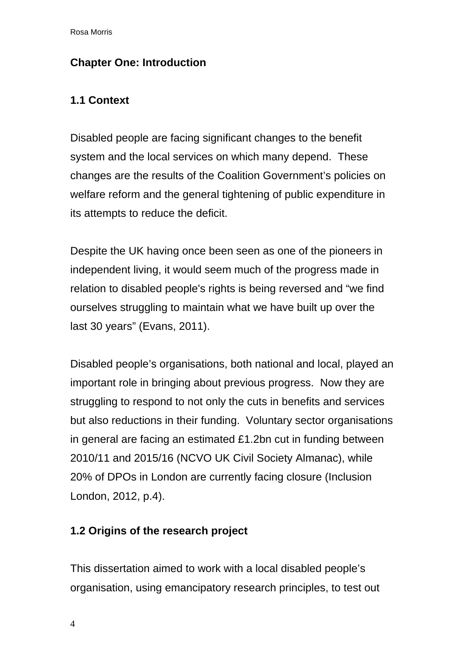# **Chapter One: Introduction**

# **1.1 Context**

Disabled people are facing significant changes to the benefit system and the local services on which many depend. These changes are the results of the Coalition Government's policies on welfare reform and the general tightening of public expenditure in its attempts to reduce the deficit.

Despite the UK having once been seen as one of the pioneers in independent living, it would seem much of the progress made in relation to disabled people's rights is being reversed and "we find ourselves struggling to maintain what we have built up over the last 30 years" (Evans, 2011).

Disabled people's organisations, both national and local, played an important role in bringing about previous progress. Now they are struggling to respond to not only the cuts in benefits and services but also reductions in their funding. Voluntary sector organisations in general are facing an estimated £1.2bn cut in funding between 2010/11 and 2015/16 (NCVO UK Civil Society Almanac), while 20% of DPOs in London are currently facing closure (Inclusion London, 2012, p.4).

# **1.2 Origins of the research project**

This dissertation aimed to work with a local disabled people's organisation, using emancipatory research principles, to test out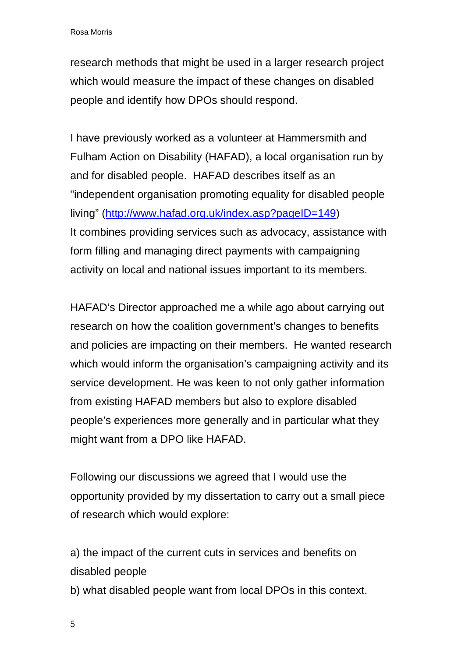research methods that might be used in a larger research project which would measure the impact of these changes on disabled people and identify how DPOs should respond.

I have previously worked as a volunteer at Hammersmith and Fulham Action on Disability (HAFAD), a local organisation run by and for disabled people. HAFAD describes itself as an "independent organisation promoting equality for disabled people living" [\(http://www.hafad.org.uk/index.asp?pageID=149](http://www.hafad.org.uk/index.asp?pageID=149)) It combines providing services such as advocacy, assistance with form filling and managing direct payments with campaigning activity on local and national issues important to its members.

HAFAD's Director approached me a while ago about carrying out research on how the coalition government's changes to benefits and policies are impacting on their members. He wanted research which would inform the organisation's campaigning activity and its service development. He was keen to not only gather information from existing HAFAD members but also to explore disabled people's experiences more generally and in particular what they might want from a DPO like HAFAD.

Following our discussions we agreed that I would use the opportunity provided by my dissertation to carry out a small piece of research which would explore:

a) the impact of the current cuts in services and benefits on disabled people

b) what disabled people want from local DPOs in this context.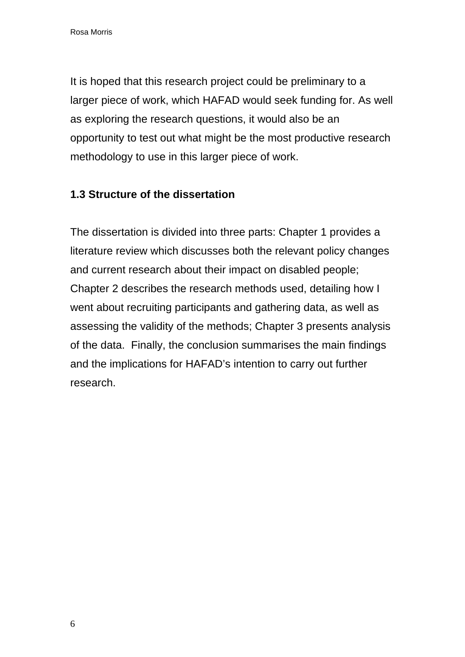It is hoped that this research project could be preliminary to a larger piece of work, which HAFAD would seek funding for. As well as exploring the research questions, it would also be an opportunity to test out what might be the most productive research methodology to use in this larger piece of work.

# **1.3 Structure of the dissertation**

The dissertation is divided into three parts: Chapter 1 provides a literature review which discusses both the relevant policy changes and current research about their impact on disabled people; Chapter 2 describes the research methods used, detailing how I went about recruiting participants and gathering data, as well as assessing the validity of the methods; Chapter 3 presents analysis of the data. Finally, the conclusion summarises the main findings and the implications for HAFAD's intention to carry out further research.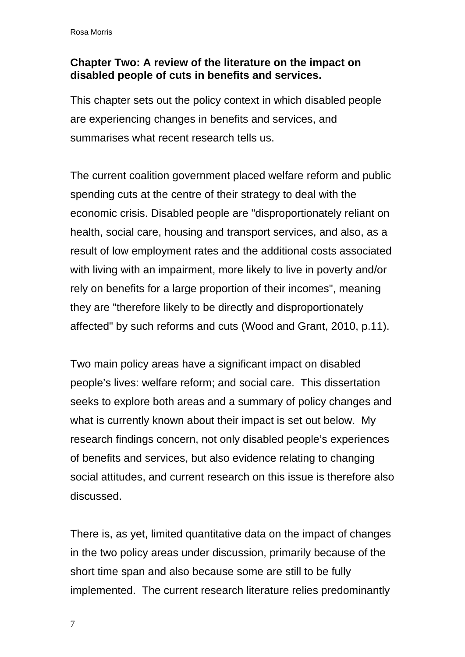# **Chapter Two: A review of the literature on the impact on disabled people of cuts in benefits and services.**

This chapter sets out the policy context in which disabled people are experiencing changes in benefits and services, and summarises what recent research tells us.

The current coalition government placed welfare reform and public spending cuts at the centre of their strategy to deal with the economic crisis. Disabled people are "disproportionately reliant on health, social care, housing and transport services, and also, as a result of low employment rates and the additional costs associated with living with an impairment, more likely to live in poverty and/or rely on benefits for a large proportion of their incomes", meaning they are "therefore likely to be directly and disproportionately affected" by such reforms and cuts (Wood and Grant, 2010, p.11).

Two main policy areas have a significant impact on disabled people's lives: welfare reform; and social care. This dissertation seeks to explore both areas and a summary of policy changes and what is currently known about their impact is set out below. My research findings concern, not only disabled people's experiences of benefits and services, but also evidence relating to changing social attitudes, and current research on this issue is therefore also discussed.

There is, as yet, limited quantitative data on the impact of changes in the two policy areas under discussion, primarily because of the short time span and also because some are still to be fully implemented. The current research literature relies predominantly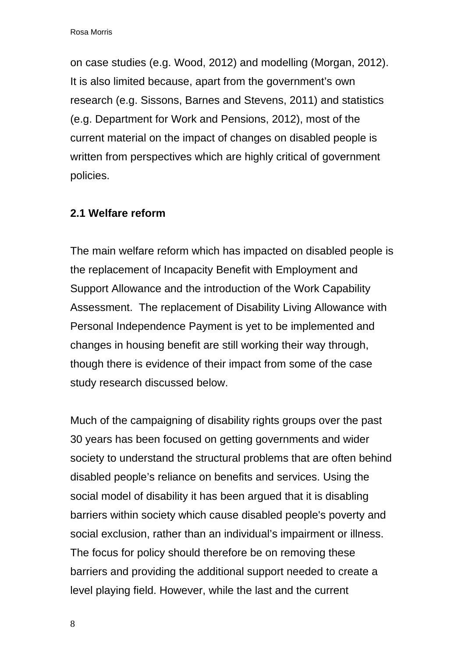on case studies (e.g. Wood, 2012) and modelling (Morgan, 2012). It is also limited because, apart from the government's own research (e.g. Sissons, Barnes and Stevens, 2011) and statistics (e.g. Department for Work and Pensions, 2012), most of the current material on the impact of changes on disabled people is written from perspectives which are highly critical of government policies.

# **2.1 Welfare reform**

The main welfare reform which has impacted on disabled people is the replacement of Incapacity Benefit with Employment and Support Allowance and the introduction of the Work Capability Assessment. The replacement of Disability Living Allowance with Personal Independence Payment is yet to be implemented and changes in housing benefit are still working their way through, though there is evidence of their impact from some of the case study research discussed below.

Much of the campaigning of disability rights groups over the past 30 years has been focused on getting governments and wider society to understand the structural problems that are often behind disabled people's reliance on benefits and services. Using the social model of disability it has been argued that it is disabling barriers within society which cause disabled people's poverty and social exclusion, rather than an individual's impairment or illness. The focus for policy should therefore be on removing these barriers and providing the additional support needed to create a level playing field. However, while the last and the current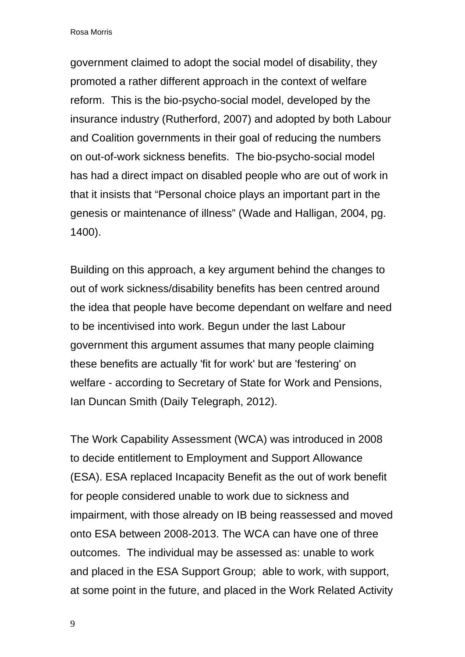government claimed to adopt the social model of disability, they promoted a rather different approach in the context of welfare reform. This is the bio-psycho-social model, developed by the insurance industry (Rutherford, 2007) and adopted by both Labour and Coalition governments in their goal of reducing the numbers on out-of-work sickness benefits. The bio-psycho-social model has had a direct impact on disabled people who are out of work in that it insists that "Personal choice plays an important part in the genesis or maintenance of illness" (Wade and Halligan, 2004, pg. 1400).

Building on this approach, a key argument behind the changes to out of work sickness/disability benefits has been centred around the idea that people have become dependant on welfare and need to be incentivised into work. Begun under the last Labour government this argument assumes that many people claiming these benefits are actually 'fit for work' but are 'festering' on welfare - according to Secretary of State for Work and Pensions, Ian Duncan Smith (Daily Telegraph, 2012).

The Work Capability Assessment (WCA) was introduced in 2008 to decide entitlement to Employment and Support Allowance (ESA). ESA replaced Incapacity Benefit as the out of work benefit for people considered unable to work due to sickness and impairment, with those already on IB being reassessed and moved onto ESA between 2008-2013. The WCA can have one of three outcomes. The individual may be assessed as: unable to work and placed in the ESA Support Group; able to work, with support, at some point in the future, and placed in the Work Related Activity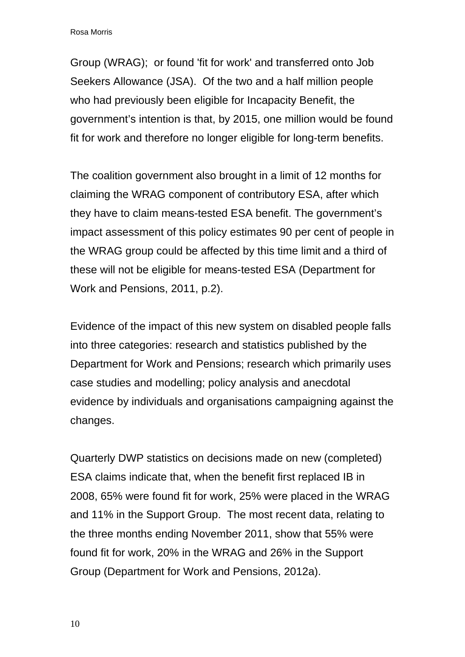Group (WRAG); or found 'fit for work' and transferred onto Job Seekers Allowance (JSA). Of the two and a half million people who had previously been eligible for Incapacity Benefit, the government's intention is that, by 2015, one million would be found fit for work and therefore no longer eligible for long-term benefits.

The coalition government also brought in a limit of 12 months for claiming the WRAG component of contributory ESA, after which they have to claim means-tested ESA benefit. The government's impact assessment of this policy estimates 90 per cent of people in the WRAG group could be affected by this time limit and a third of these will not be eligible for means-tested ESA (Department for Work and Pensions, 2011, p.2).

Evidence of the impact of this new system on disabled people falls into three categories: research and statistics published by the Department for Work and Pensions; research which primarily uses case studies and modelling; policy analysis and anecdotal evidence by individuals and organisations campaigning against the changes.

Quarterly DWP statistics on decisions made on new (completed) ESA claims indicate that, when the benefit first replaced IB in 2008, 65% were found fit for work, 25% were placed in the WRAG and 11% in the Support Group. The most recent data, relating to the three months ending November 2011, show that 55% were found fit for work, 20% in the WRAG and 26% in the Support Group (Department for Work and Pensions, 2012a).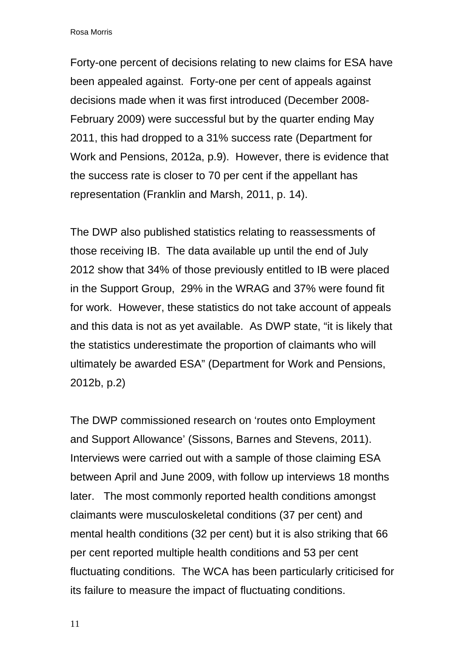Forty-one percent of decisions relating to new claims for ESA have been appealed against. Forty-one per cent of appeals against decisions made when it was first introduced (December 2008- February 2009) were successful but by the quarter ending May 2011, this had dropped to a 31% success rate (Department for Work and Pensions, 2012a, p.9). However, there is evidence that the success rate is closer to 70 per cent if the appellant has representation (Franklin and Marsh, 2011, p. 14).

The DWP also published statistics relating to reassessments of those receiving IB. The data available up until the end of July 2012 show that 34% of those previously entitled to IB were placed in the Support Group, 29% in the WRAG and 37% were found fit for work. However, these statistics do not take account of appeals and this data is not as yet available. As DWP state, "it is likely that the statistics underestimate the proportion of claimants who will ultimately be awarded ESA" (Department for Work and Pensions, 2012b, p.2)

The DWP commissioned research on 'routes onto Employment and Support Allowance' (Sissons, Barnes and Stevens, 2011). Interviews were carried out with a sample of those claiming ESA between April and June 2009, with follow up interviews 18 months later. The most commonly reported health conditions amongst claimants were musculoskeletal conditions (37 per cent) and mental health conditions (32 per cent) but it is also striking that 66 per cent reported multiple health conditions and 53 per cent fluctuating conditions. The WCA has been particularly criticised for its failure to measure the impact of fluctuating conditions.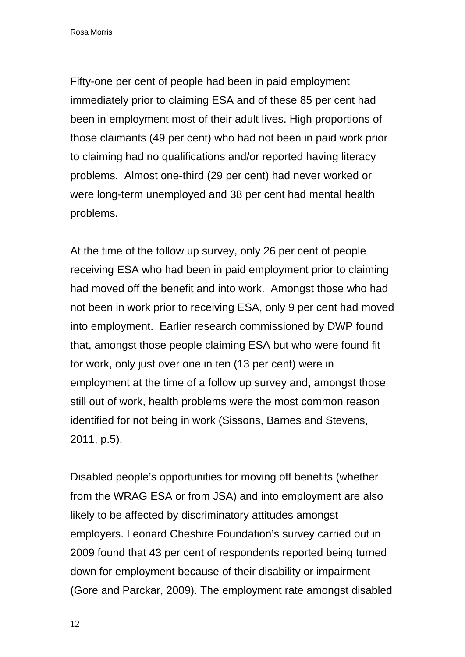Fifty-one per cent of people had been in paid employment immediately prior to claiming ESA and of these 85 per cent had been in employment most of their adult lives. High proportions of those claimants (49 per cent) who had not been in paid work prior to claiming had no qualifications and/or reported having literacy problems. Almost one-third (29 per cent) had never worked or were long-term unemployed and 38 per cent had mental health problems.

At the time of the follow up survey, only 26 per cent of people receiving ESA who had been in paid employment prior to claiming had moved off the benefit and into work. Amongst those who had not been in work prior to receiving ESA, only 9 per cent had moved into employment. Earlier research commissioned by DWP found that, amongst those people claiming ESA but who were found fit for work, only just over one in ten (13 per cent) were in employment at the time of a follow up survey and, amongst those still out of work, health problems were the most common reason identified for not being in work (Sissons, Barnes and Stevens, 2011, p.5).

Disabled people's opportunities for moving off benefits (whether from the WRAG ESA or from JSA) and into employment are also likely to be affected by discriminatory attitudes amongst employers. Leonard Cheshire Foundation's survey carried out in 2009 found that 43 per cent of respondents reported being turned down for employment because of their disability or impairment (Gore and Parckar, 2009). The employment rate amongst disabled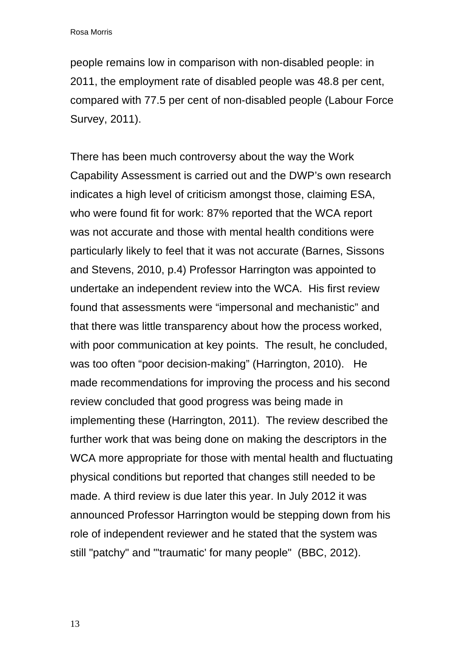people remains low in comparison with non-disabled people: in 2011, the employment rate of disabled people was 48.8 per cent, compared with 77.5 per cent of non-disabled people (Labour Force Survey, 2011).

There has been much controversy about the way the Work Capability Assessment is carried out and the DWP's own research indicates a high level of criticism amongst those, claiming ESA, who were found fit for work: 87% reported that the WCA report was not accurate and those with mental health conditions were particularly likely to feel that it was not accurate (Barnes, Sissons and Stevens, 2010, p.4) Professor Harrington was appointed to undertake an independent review into the WCA. His first review found that assessments were "impersonal and mechanistic" and that there was little transparency about how the process worked, with poor communication at key points. The result, he concluded, was too often "poor decision-making" (Harrington, 2010). He made recommendations for improving the process and his second review concluded that good progress was being made in implementing these (Harrington, 2011). The review described the further work that was being done on making the descriptors in the WCA more appropriate for those with mental health and fluctuating physical conditions but reported that changes still needed to be made. A third review is due later this year. In July 2012 it was announced Professor Harrington would be stepping down from his role of independent reviewer and he stated that the system was still "patchy" and "'traumatic' for many people" (BBC, 2012).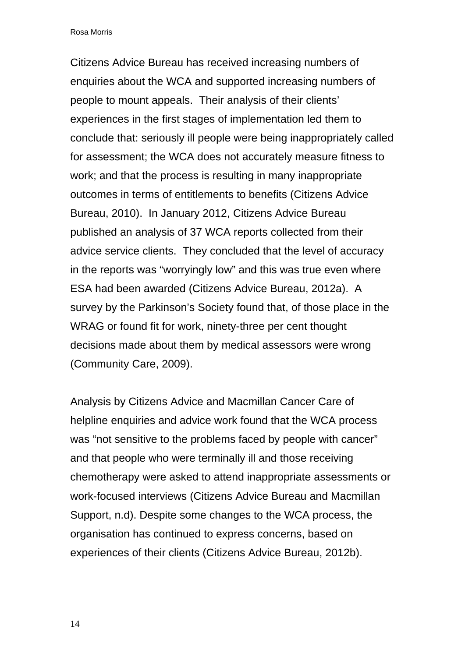Citizens Advice Bureau has received increasing numbers of enquiries about the WCA and supported increasing numbers of people to mount appeals. Their analysis of their clients' experiences in the first stages of implementation led them to conclude that: seriously ill people were being inappropriately called for assessment; the WCA does not accurately measure fitness to work; and that the process is resulting in many inappropriate outcomes in terms of entitlements to benefits (Citizens Advice Bureau, 2010). In January 2012, Citizens Advice Bureau published an analysis of 37 WCA reports collected from their advice service clients. They concluded that the level of accuracy in the reports was "worryingly low" and this was true even where ESA had been awarded (Citizens Advice Bureau, 2012a). A survey by the Parkinson's Society found that, of those place in the WRAG or found fit for work, ninety-three per cent thought decisions made about them by medical assessors were wrong (Community Care, 2009).

Analysis by Citizens Advice and Macmillan Cancer Care of helpline enquiries and advice work found that the WCA process was "not sensitive to the problems faced by people with cancer" and that people who were terminally ill and those receiving chemotherapy were asked to attend inappropriate assessments or work-focused interviews (Citizens Advice Bureau and Macmillan Support, n.d). Despite some changes to the WCA process, the organisation has continued to express concerns, based on experiences of their clients (Citizens Advice Bureau, 2012b).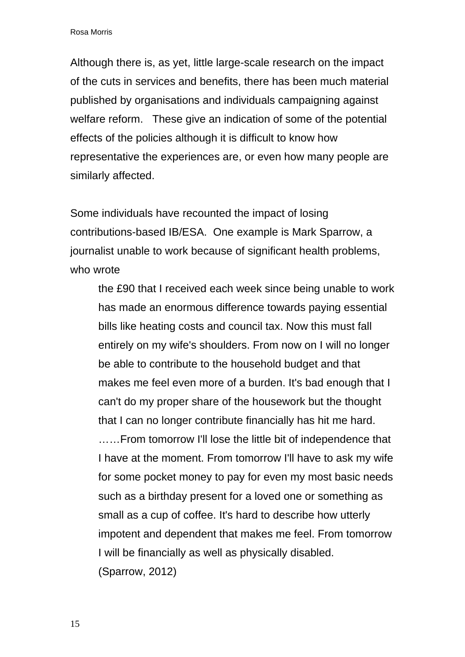Although there is, as yet, little large-scale research on the impact of the cuts in services and benefits, there has been much material published by organisations and individuals campaigning against welfare reform. These give an indication of some of the potential effects of the policies although it is difficult to know how representative the experiences are, or even how many people are similarly affected.

Some individuals have recounted the impact of losing contributions-based IB/ESA. One example is Mark Sparrow, a journalist unable to work because of significant health problems, who wrote

the £90 that I received each week since being unable to work has made an enormous difference towards paying essential bills like heating costs and council tax. Now this must fall entirely on my wife's shoulders. From now on I will no longer be able to contribute to the household budget and that makes me feel even more of a burden. It's bad enough that I can't do my proper share of the housework but the thought that I can no longer contribute financially has hit me hard. ……From tomorrow I'll lose the little bit of independence that I have at the moment. From tomorrow I'll have to ask my wife for some pocket money to pay for even my most basic needs such as a birthday present for a loved one or something as small as a cup of coffee. It's hard to describe how utterly impotent and dependent that makes me feel. From tomorrow I will be financially as well as physically disabled. (Sparrow, 2012)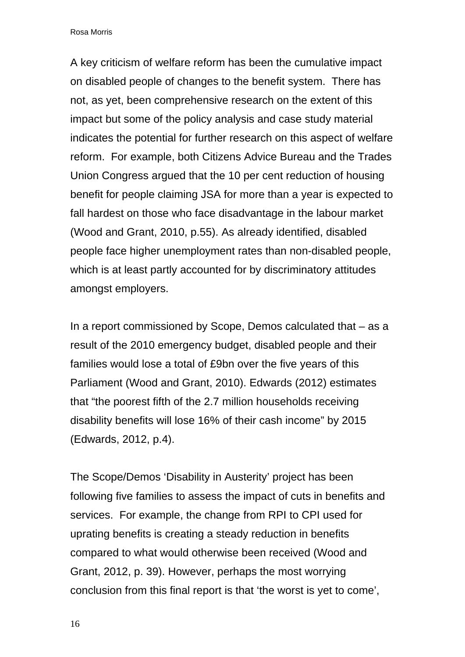A key criticism of welfare reform has been the cumulative impact on disabled people of changes to the benefit system. There has not, as yet, been comprehensive research on the extent of this impact but some of the policy analysis and case study material indicates the potential for further research on this aspect of welfare reform. For example, both Citizens Advice Bureau and the Trades Union Congress argued that the 10 per cent reduction of housing benefit for people claiming JSA for more than a year is expected to fall hardest on those who face disadvantage in the labour market (Wood and Grant, 2010, p.55). As already identified, disabled people face higher unemployment rates than non-disabled people, which is at least partly accounted for by discriminatory attitudes amongst employers.

In a report commissioned by Scope, Demos calculated that – as a result of the 2010 emergency budget, disabled people and their families would lose a total of £9bn over the five years of this Parliament (Wood and Grant, 2010). Edwards (2012) estimates that "the poorest fifth of the 2.7 million households receiving disability benefits will lose 16% of their cash income" by 2015 (Edwards, 2012, p.4).

The Scope/Demos 'Disability in Austerity' project has been following five families to assess the impact of cuts in benefits and services. For example, the change from RPI to CPI used for uprating benefits is creating a steady reduction in benefits compared to what would otherwise been received (Wood and Grant, 2012, p. 39). However, perhaps the most worrying conclusion from this final report is that 'the worst is yet to come',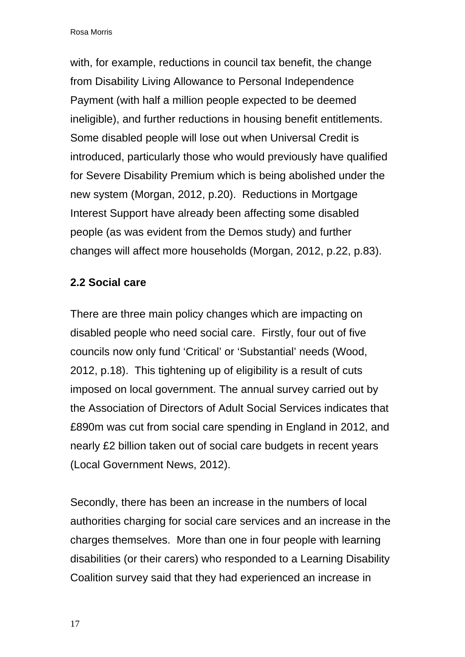with, for example, reductions in council tax benefit, the change from Disability Living Allowance to Personal Independence Payment (with half a million people expected to be deemed ineligible), and further reductions in housing benefit entitlements. Some disabled people will lose out when Universal Credit is introduced, particularly those who would previously have qualified for Severe Disability Premium which is being abolished under the new system (Morgan, 2012, p.20). Reductions in Mortgage Interest Support have already been affecting some disabled people (as was evident from the Demos study) and further changes will affect more households (Morgan, 2012, p.22, p.83).

#### **2.2 Social care**

There are three main policy changes which are impacting on disabled people who need social care. Firstly, four out of five councils now only fund 'Critical' or 'Substantial' needs (Wood, 2012, p.18). This tightening up of eligibility is a result of cuts imposed on local government. The annual survey carried out by the Association of Directors of Adult Social Services indicates that £890m was cut from social care spending in England in 2012, and nearly £2 billion taken out of social care budgets in recent years (Local Government News, 2012).

Secondly, there has been an increase in the numbers of local authorities charging for social care services and an increase in the charges themselves. More than one in four people with learning disabilities (or their carers) who responded to a Learning Disability Coalition survey said that they had experienced an increase in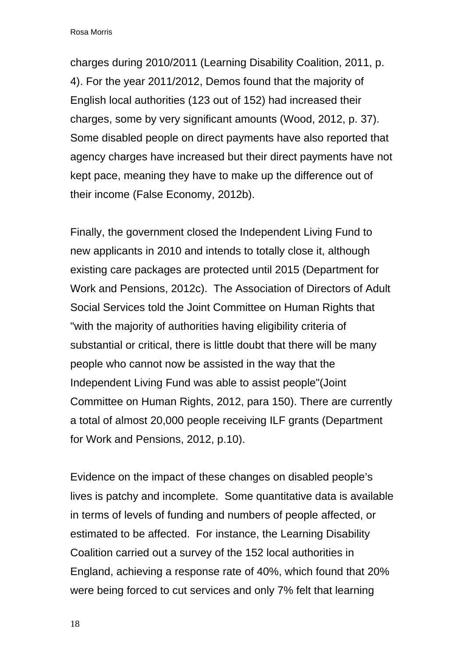charges during 2010/2011 (Learning Disability Coalition, 2011, p. 4). For the year 2011/2012, Demos found that the majority of English local authorities (123 out of 152) had increased their charges, some by very significant amounts (Wood, 2012, p. 37). Some disabled people on direct payments have also reported that agency charges have increased but their direct payments have not kept pace, meaning they have to make up the difference out of their income (False Economy, 2012b).

Finally, the government closed the Independent Living Fund to new applicants in 2010 and intends to totally close it, although existing care packages are protected until 2015 (Department for Work and Pensions, 2012c). The Association of Directors of Adult Social Services told the Joint Committee on Human Rights that "with the majority of authorities having eligibility criteria of substantial or critical, there is little doubt that there will be many people who cannot now be assisted in the way that the Independent Living Fund was able to assist people"(Joint Committee on Human Rights, 2012, para 150). There are currently a total of almost 20,000 people receiving ILF grants (Department for Work and Pensions, 2012, p.10).

Evidence on the impact of these changes on disabled people's lives is patchy and incomplete. Some quantitative data is available in terms of levels of funding and numbers of people affected, or estimated to be affected. For instance, the Learning Disability Coalition carried out a survey of the 152 local authorities in England, achieving a response rate of 40%, which found that 20% were being forced to cut services and only 7% felt that learning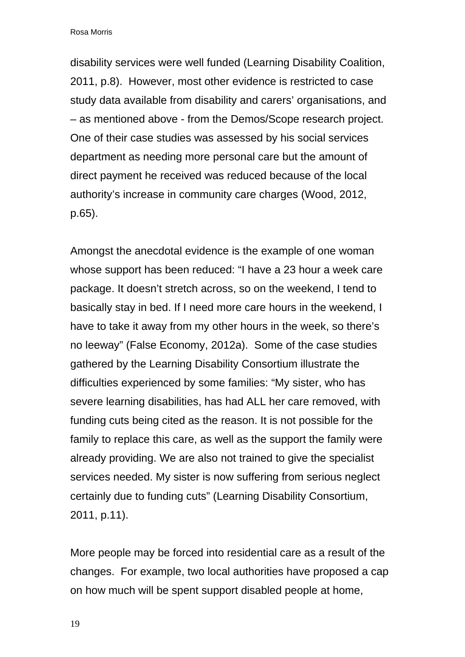disability services were well funded (Learning Disability Coalition, 2011, p.8). However, most other evidence is restricted to case study data available from disability and carers' organisations, and – as mentioned above - from the Demos/Scope research project. One of their case studies was assessed by his social services department as needing more personal care but the amount of direct payment he received was reduced because of the local authority's increase in community care charges (Wood, 2012, p.65).

Amongst the anecdotal evidence is the example of one woman whose support has been reduced: "I have a 23 hour a week care package. It doesn't stretch across, so on the weekend, I tend to basically stay in bed. If I need more care hours in the weekend, I have to take it away from my other hours in the week, so there's no leeway" (False Economy, 2012a). Some of the case studies gathered by the Learning Disability Consortium illustrate the difficulties experienced by some families: "My sister, who has severe learning disabilities, has had ALL her care removed, with funding cuts being cited as the reason. It is not possible for the family to replace this care, as well as the support the family were already providing. We are also not trained to give the specialist services needed. My sister is now suffering from serious neglect certainly due to funding cuts" (Learning Disability Consortium, 2011, p.11).

More people may be forced into residential care as a result of the changes. For example, two local authorities have proposed a cap on how much will be spent support disabled people at home,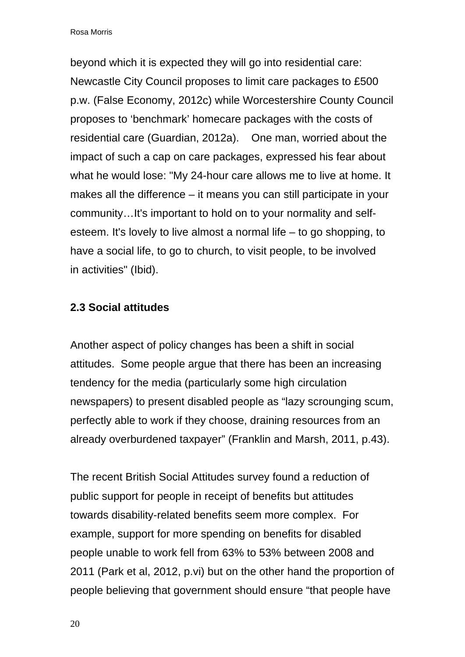beyond which it is expected they will go into residential care: Newcastle City Council proposes to limit care packages to £500 p.w. (False Economy, 2012c) while Worcestershire County Council proposes to 'benchmark' homecare packages with the costs of residential care (Guardian, 2012a). One man, worried about the impact of such a cap on care packages, expressed his fear about what he would lose: "My 24-hour care allows me to live at home. It makes all the difference – it means you can still participate in your community…It's important to hold on to your normality and selfesteem. It's lovely to live almost a normal life – to go shopping, to have a social life, to go to church, to visit people, to be involved in activities" (Ibid).

#### **2.3 Social attitudes**

Another aspect of policy changes has been a shift in social attitudes. Some people argue that there has been an increasing tendency for the media (particularly some high circulation newspapers) to present disabled people as "lazy scrounging scum, perfectly able to work if they choose, draining resources from an already overburdened taxpayer" (Franklin and Marsh, 2011, p.43).

The recent British Social Attitudes survey found a reduction of public support for people in receipt of benefits but attitudes towards disability-related benefits seem more complex. For example, support for more spending on benefits for disabled people unable to work fell from 63% to 53% between 2008 and 2011 (Park et al, 2012, p.vi) but on the other hand the proportion of people believing that government should ensure "that people have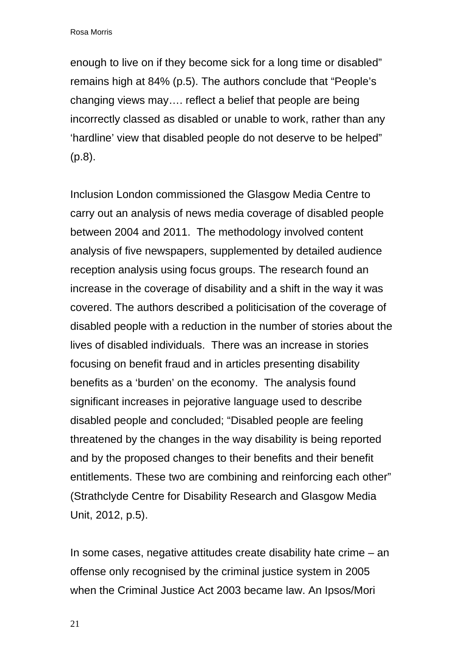enough to live on if they become sick for a long time or disabled" remains high at 84% (p.5). The authors conclude that "People's changing views may…. reflect a belief that people are being incorrectly classed as disabled or unable to work, rather than any 'hardline' view that disabled people do not deserve to be helped" (p.8).

Inclusion London commissioned the Glasgow Media Centre to carry out an analysis of news media coverage of disabled people between 2004 and 2011. The methodology involved content analysis of five newspapers, supplemented by detailed audience reception analysis using focus groups. The research found an increase in the coverage of disability and a shift in the way it was covered. The authors described a politicisation of the coverage of disabled people with a reduction in the number of stories about the lives of disabled individuals. There was an increase in stories focusing on benefit fraud and in articles presenting disability benefits as a 'burden' on the economy. The analysis found significant increases in pejorative language used to describe disabled people and concluded; "Disabled people are feeling threatened by the changes in the way disability is being reported and by the proposed changes to their benefits and their benefit entitlements. These two are combining and reinforcing each other" (Strathclyde Centre for Disability Research and Glasgow Media Unit, 2012, p.5).

In some cases, negative attitudes create disability hate crime – an offense only recognised by the criminal justice system in 2005 when the Criminal Justice Act 2003 became law. An Ipsos/Mori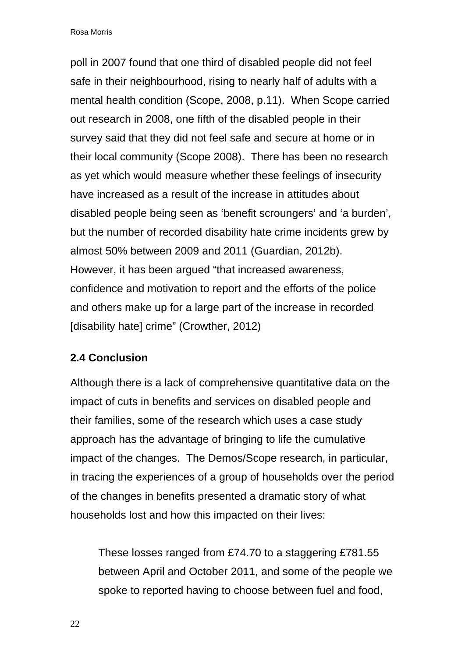poll in 2007 found that one third of disabled people did not feel safe in their neighbourhood, rising to nearly half of adults with a mental health condition (Scope, 2008, p.11). When Scope carried out research in 2008, one fifth of the disabled people in their survey said that they did not feel safe and secure at home or in their local community (Scope 2008). There has been no research as yet which would measure whether these feelings of insecurity have increased as a result of the increase in attitudes about disabled people being seen as 'benefit scroungers' and 'a burden', but the number of recorded disability hate crime incidents grew by almost 50% between 2009 and 2011 (Guardian, 2012b). However, it has been argued "that increased awareness, confidence and motivation to report and the efforts of the police and others make up for a large part of the increase in recorded [disability hate] crime" (Crowther, 2012)

#### **2.4 Conclusion**

Although there is a lack of comprehensive quantitative data on the impact of cuts in benefits and services on disabled people and their families, some of the research which uses a case study approach has the advantage of bringing to life the cumulative impact of the changes. The Demos/Scope research, in particular, in tracing the experiences of a group of households over the period of the changes in benefits presented a dramatic story of what households lost and how this impacted on their lives:

These losses ranged from £74.70 to a staggering £781.55 between April and October 2011, and some of the people we spoke to reported having to choose between fuel and food,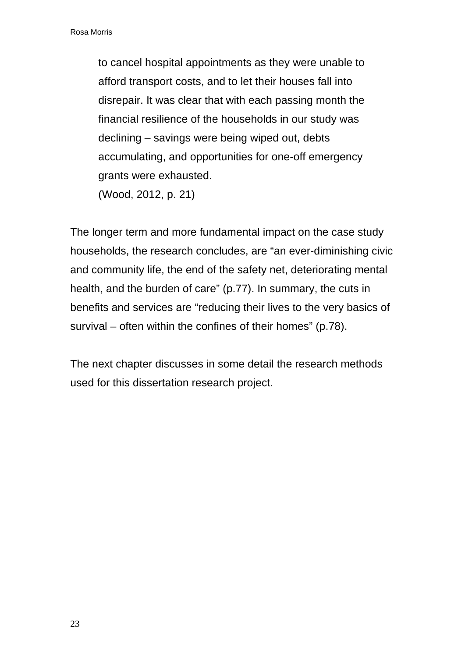to cancel hospital appointments as they were unable to afford transport costs, and to let their houses fall into disrepair. It was clear that with each passing month the financial resilience of the households in our study was declining – savings were being wiped out, debts accumulating, and opportunities for one-off emergency grants were exhausted. (Wood, 2012, p. 21)

The longer term and more fundamental impact on the case study households, the research concludes, are "an ever-diminishing civic and community life, the end of the safety net, deteriorating mental health, and the burden of care" (p.77). In summary, the cuts in benefits and services are "reducing their lives to the very basics of survival – often within the confines of their homes" (p.78).

The next chapter discusses in some detail the research methods used for this dissertation research project.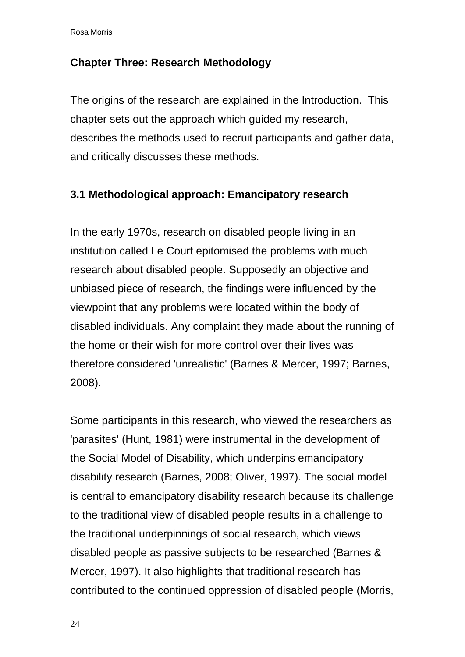#### **Chapter Three: Research Methodology**

The origins of the research are explained in the Introduction. This chapter sets out the approach which guided my research, describes the methods used to recruit participants and gather data, and critically discusses these methods.

#### **3.1 Methodological approach: Emancipatory research**

In the early 1970s, research on disabled people living in an institution called Le Court epitomised the problems with much research about disabled people. Supposedly an objective and unbiased piece of research, the findings were influenced by the viewpoint that any problems were located within the body of disabled individuals. Any complaint they made about the running of the home or their wish for more control over their lives was therefore considered 'unrealistic' (Barnes & Mercer, 1997; Barnes, 2008).

Some participants in this research, who viewed the researchers as 'parasites' (Hunt, 1981) were instrumental in the development of the Social Model of Disability, which underpins emancipatory disability research (Barnes, 2008; Oliver, 1997). The social model is central to emancipatory disability research because its challenge to the traditional view of disabled people results in a challenge to the traditional underpinnings of social research, which views disabled people as passive subjects to be researched (Barnes & Mercer, 1997). It also highlights that traditional research has contributed to the continued oppression of disabled people (Morris,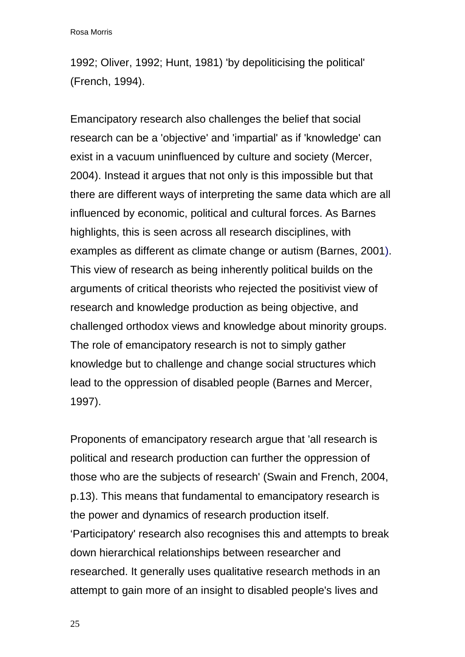1992; Oliver, 1992; Hunt, 1981) 'by depoliticising the political' (French, 1994).

Emancipatory research also challenges the belief that social research can be a 'objective' and 'impartial' as if 'knowledge' can exist in a vacuum uninfluenced by culture and society (Mercer, 2004). Instead it argues that not only is this impossible but that there are different ways of interpreting the same data which are all influenced by economic, political and cultural forces. As Barnes highlights, this is seen across all research disciplines, with examples as different as climate change or autism (Barnes, 2001). This view of research as being inherently political builds on the arguments of critical theorists who rejected the positivist view of research and knowledge production as being objective, and challenged orthodox views and knowledge about minority groups. The role of emancipatory research is not to simply gather knowledge but to challenge and change social structures which lead to the oppression of disabled people (Barnes and Mercer, 1997).

Proponents of emancipatory research argue that 'all research is political and research production can further the oppression of those who are the subjects of research' (Swain and French, 2004, p.13). This means that fundamental to emancipatory research is the power and dynamics of research production itself. 'Participatory' research also recognises this and attempts to break down hierarchical relationships between researcher and researched. It generally uses qualitative research methods in an attempt to gain more of an insight to disabled people's lives and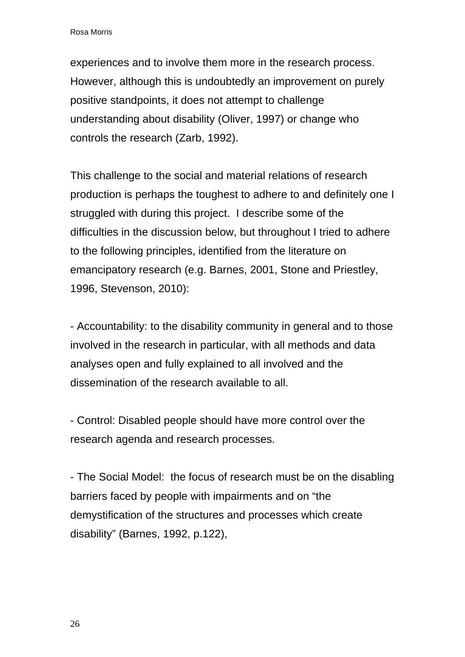experiences and to involve them more in the research process. However, although this is undoubtedly an improvement on purely positive standpoints, it does not attempt to challenge understanding about disability (Oliver, 1997) or change who controls the research (Zarb, 1992).

This challenge to the social and material relations of research production is perhaps the toughest to adhere to and definitely one I struggled with during this project. I describe some of the difficulties in the discussion below, but throughout I tried to adhere to the following principles, identified from the literature on emancipatory research (e.g. Barnes, 2001, Stone and Priestley, 1996, Stevenson, 2010):

- Accountability: to the disability community in general and to those involved in the research in particular, with all methods and data analyses open and fully explained to all involved and the dissemination of the research available to all.

- Control: Disabled people should have more control over the research agenda and research processes.

- The Social Model: the focus of research must be on the disabling barriers faced by people with impairments and on "the demystification of the structures and processes which create disability" (Barnes, 1992, p.122),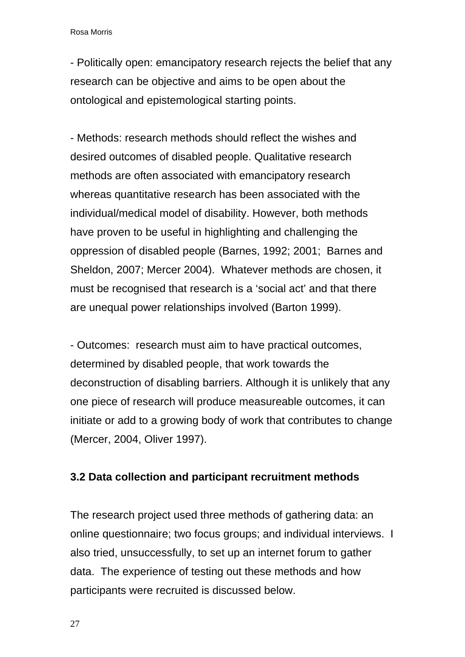- Politically open: emancipatory research rejects the belief that any research can be objective and aims to be open about the ontological and epistemological starting points.

- Methods: research methods should reflect the wishes and desired outcomes of disabled people. Qualitative research methods are often associated with emancipatory research whereas quantitative research has been associated with the individual/medical model of disability. However, both methods have proven to be useful in highlighting and challenging the oppression of disabled people (Barnes, 1992; 2001; Barnes and Sheldon, 2007; Mercer 2004). Whatever methods are chosen, it must be recognised that research is a 'social act' and that there are unequal power relationships involved (Barton 1999).

- Outcomes: research must aim to have practical outcomes, determined by disabled people, that work towards the deconstruction of disabling barriers. Although it is unlikely that any one piece of research will produce measureable outcomes, it can initiate or add to a growing body of work that contributes to change (Mercer, 2004, Oliver 1997).

#### **3.2 Data collection and participant recruitment methods**

The research project used three methods of gathering data: an online questionnaire; two focus groups; and individual interviews. I also tried, unsuccessfully, to set up an internet forum to gather data. The experience of testing out these methods and how participants were recruited is discussed below.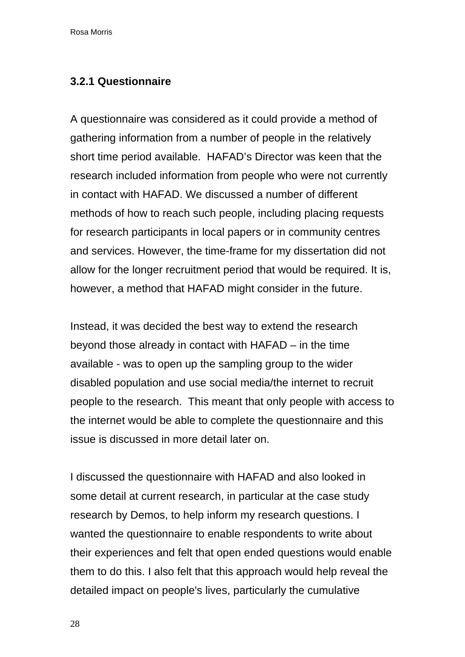#### **3.2.1 Questionnaire**

A questionnaire was considered as it could provide a method of gathering information from a number of people in the relatively short time period available. HAFAD's Director was keen that the research included information from people who were not currently in contact with HAFAD. We discussed a number of different methods of how to reach such people, including placing requests for research participants in local papers or in community centres and services. However, the time-frame for my dissertation did not allow for the longer recruitment period that would be required. It is, however, a method that HAFAD might consider in the future.

Instead, it was decided the best way to extend the research beyond those already in contact with HAFAD – in the time available - was to open up the sampling group to the wider disabled population and use social media/the internet to recruit people to the research. This meant that only people with access to the internet would be able to complete the questionnaire and this issue is discussed in more detail later on.

I discussed the questionnaire with HAFAD and also looked in some detail at current research, in particular at the case study research by Demos, to help inform my research questions. I wanted the questionnaire to enable respondents to write about their experiences and felt that open ended questions would enable them to do this. I also felt that this approach would help reveal the detailed impact on people's lives, particularly the cumulative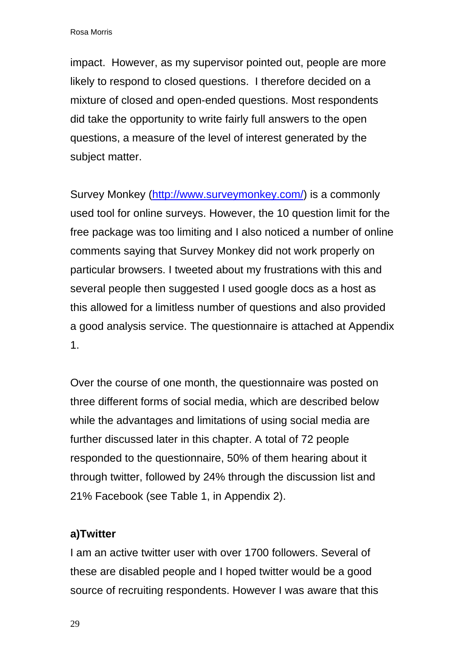impact. However, as my supervisor pointed out, people are more likely to respond to closed questions. I therefore decided on a mixture of closed and open-ended questions. Most respondents did take the opportunity to write fairly full answers to the open questions, a measure of the level of interest generated by the subject matter.

Survey Monkey [\(http://www.surveymonkey.com/\)](http://www.surveymonkey.com/) is a commonly used tool for online surveys. However, the 10 question limit for the free package was too limiting and I also noticed a number of online comments saying that Survey Monkey did not work properly on particular browsers. I tweeted about my frustrations with this and several people then suggested I used google docs as a host as this allowed for a limitless number of questions and also provided a good analysis service. The questionnaire is attached at Appendix 1.

Over the course of one month, the questionnaire was posted on three different forms of social media, which are described below while the advantages and limitations of using social media are further discussed later in this chapter. A total of 72 people responded to the questionnaire, 50% of them hearing about it through twitter, followed by 24% through the discussion list and 21% Facebook (see Table 1, in Appendix 2).

#### **a)Twitter**

I am an active twitter user with over 1700 followers. Several of these are disabled people and I hoped twitter would be a good source of recruiting respondents. However I was aware that this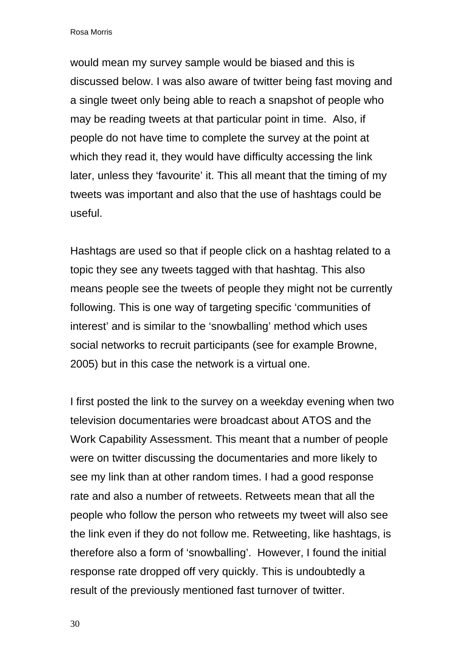would mean my survey sample would be biased and this is discussed below. I was also aware of twitter being fast moving and a single tweet only being able to reach a snapshot of people who may be reading tweets at that particular point in time. Also, if people do not have time to complete the survey at the point at which they read it, they would have difficulty accessing the link later, unless they 'favourite' it. This all meant that the timing of my tweets was important and also that the use of hashtags could be useful.

Hashtags are used so that if people click on a hashtag related to a topic they see any tweets tagged with that hashtag. This also means people see the tweets of people they might not be currently following. This is one way of targeting specific 'communities of interest' and is similar to the 'snowballing' method which uses social networks to recruit participants (see for example Browne, 2005) but in this case the network is a virtual one.

I first posted the link to the survey on a weekday evening when two television documentaries were broadcast about ATOS and the Work Capability Assessment. This meant that a number of people were on twitter discussing the documentaries and more likely to see my link than at other random times. I had a good response rate and also a number of retweets. Retweets mean that all the people who follow the person who retweets my tweet will also see the link even if they do not follow me. Retweeting, like hashtags, is therefore also a form of 'snowballing'. However, I found the initial response rate dropped off very quickly. This is undoubtedly a result of the previously mentioned fast turnover of twitter.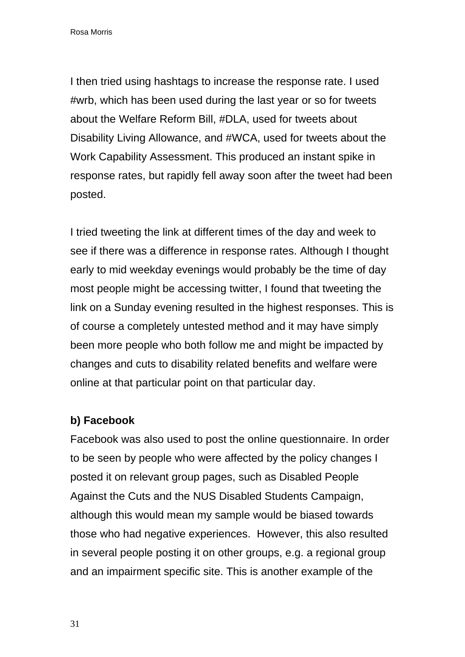I then tried using hashtags to increase the response rate. I used #wrb, which has been used during the last year or so for tweets about the Welfare Reform Bill, #DLA, used for tweets about Disability Living Allowance, and #WCA, used for tweets about the Work Capability Assessment. This produced an instant spike in response rates, but rapidly fell away soon after the tweet had been posted.

I tried tweeting the link at different times of the day and week to see if there was a difference in response rates. Although I thought early to mid weekday evenings would probably be the time of day most people might be accessing twitter, I found that tweeting the link on a Sunday evening resulted in the highest responses. This is of course a completely untested method and it may have simply been more people who both follow me and might be impacted by changes and cuts to disability related benefits and welfare were online at that particular point on that particular day.

#### **b) Facebook**

Facebook was also used to post the online questionnaire. In order to be seen by people who were affected by the policy changes I posted it on relevant group pages, such as Disabled People Against the Cuts and the NUS Disabled Students Campaign, although this would mean my sample would be biased towards those who had negative experiences. However, this also resulted in several people posting it on other groups, e.g. a regional group and an impairment specific site. This is another example of the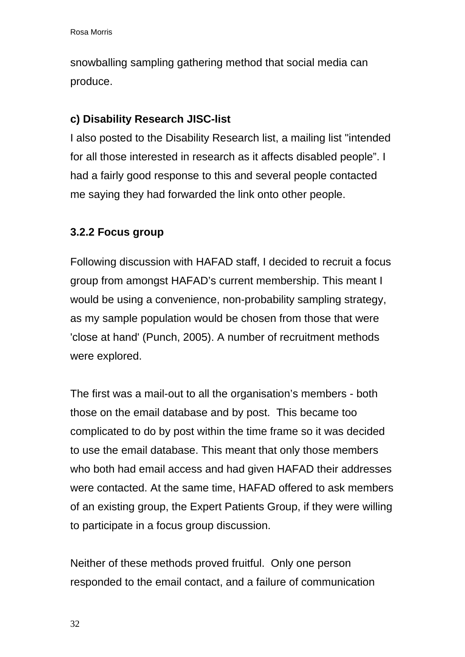snowballing sampling gathering method that social media can produce.

# **c) Disability Research JISC-list**

I also posted to the Disability Research list, a mailing list "intended for all those interested in research as it affects disabled people". I had a fairly good response to this and several people contacted me saying they had forwarded the link onto other people.

# **3.2.2 Focus group**

Following discussion with HAFAD staff, I decided to recruit a focus group from amongst HAFAD's current membership. This meant I would be using a convenience, non-probability sampling strategy, as my sample population would be chosen from those that were 'close at hand' (Punch, 2005). A number of recruitment methods were explored.

The first was a mail-out to all the organisation's members - both those on the email database and by post. This became too complicated to do by post within the time frame so it was decided to use the email database. This meant that only those members who both had email access and had given HAFAD their addresses were contacted. At the same time, HAFAD offered to ask members of an existing group, the Expert Patients Group, if they were willing to participate in a focus group discussion.

Neither of these methods proved fruitful. Only one person responded to the email contact, and a failure of communication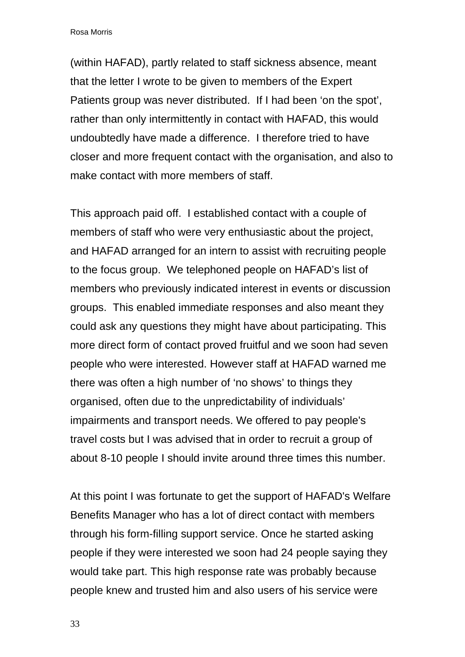(within HAFAD), partly related to staff sickness absence, meant that the letter I wrote to be given to members of the Expert Patients group was never distributed. If I had been 'on the spot', rather than only intermittently in contact with HAFAD, this would undoubtedly have made a difference. I therefore tried to have closer and more frequent contact with the organisation, and also to make contact with more members of staff.

This approach paid off. I established contact with a couple of members of staff who were very enthusiastic about the project, and HAFAD arranged for an intern to assist with recruiting people to the focus group. We telephoned people on HAFAD's list of members who previously indicated interest in events or discussion groups. This enabled immediate responses and also meant they could ask any questions they might have about participating. This more direct form of contact proved fruitful and we soon had seven people who were interested. However staff at HAFAD warned me there was often a high number of 'no shows' to things they organised, often due to the unpredictability of individuals' impairments and transport needs. We offered to pay people's travel costs but I was advised that in order to recruit a group of about 8-10 people I should invite around three times this number.

At this point I was fortunate to get the support of HAFAD's Welfare Benefits Manager who has a lot of direct contact with members through his form-filling support service. Once he started asking people if they were interested we soon had 24 people saying they would take part. This high response rate was probably because people knew and trusted him and also users of his service were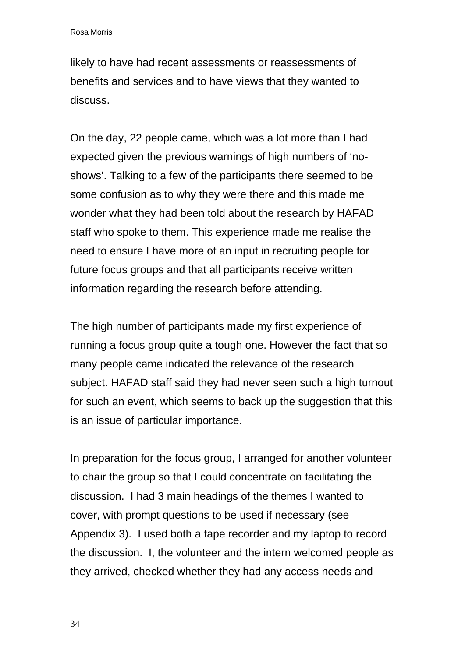likely to have had recent assessments or reassessments of benefits and services and to have views that they wanted to discuss.

On the day, 22 people came, which was a lot more than I had expected given the previous warnings of high numbers of 'noshows'. Talking to a few of the participants there seemed to be some confusion as to why they were there and this made me wonder what they had been told about the research by HAFAD staff who spoke to them. This experience made me realise the need to ensure I have more of an input in recruiting people for future focus groups and that all participants receive written information regarding the research before attending.

The high number of participants made my first experience of running a focus group quite a tough one. However the fact that so many people came indicated the relevance of the research subject. HAFAD staff said they had never seen such a high turnout for such an event, which seems to back up the suggestion that this is an issue of particular importance.

In preparation for the focus group, I arranged for another volunteer to chair the group so that I could concentrate on facilitating the discussion. I had 3 main headings of the themes I wanted to cover, with prompt questions to be used if necessary (see Appendix 3). I used both a tape recorder and my laptop to record the discussion. I, the volunteer and the intern welcomed people as they arrived, checked whether they had any access needs and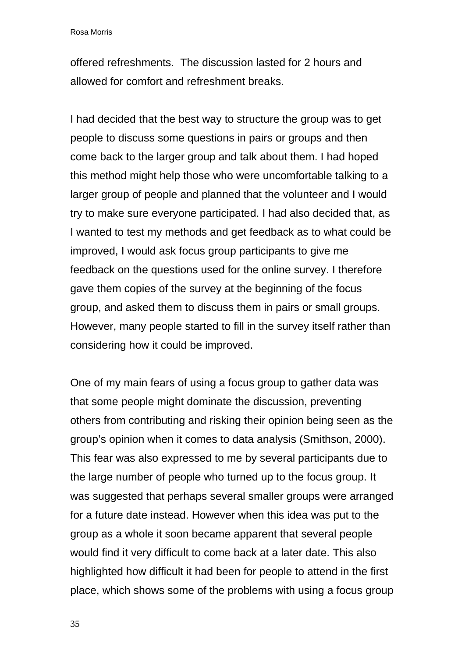offered refreshments. The discussion lasted for 2 hours and allowed for comfort and refreshment breaks.

I had decided that the best way to structure the group was to get people to discuss some questions in pairs or groups and then come back to the larger group and talk about them. I had hoped this method might help those who were uncomfortable talking to a larger group of people and planned that the volunteer and I would try to make sure everyone participated. I had also decided that, as I wanted to test my methods and get feedback as to what could be improved, I would ask focus group participants to give me feedback on the questions used for the online survey. I therefore gave them copies of the survey at the beginning of the focus group, and asked them to discuss them in pairs or small groups. However, many people started to fill in the survey itself rather than considering how it could be improved.

One of my main fears of using a focus group to gather data was that some people might dominate the discussion, preventing others from contributing and risking their opinion being seen as the group's opinion when it comes to data analysis (Smithson, 2000). This fear was also expressed to me by several participants due to the large number of people who turned up to the focus group. It was suggested that perhaps several smaller groups were arranged for a future date instead. However when this idea was put to the group as a whole it soon became apparent that several people would find it very difficult to come back at a later date. This also highlighted how difficult it had been for people to attend in the first place, which shows some of the problems with using a focus group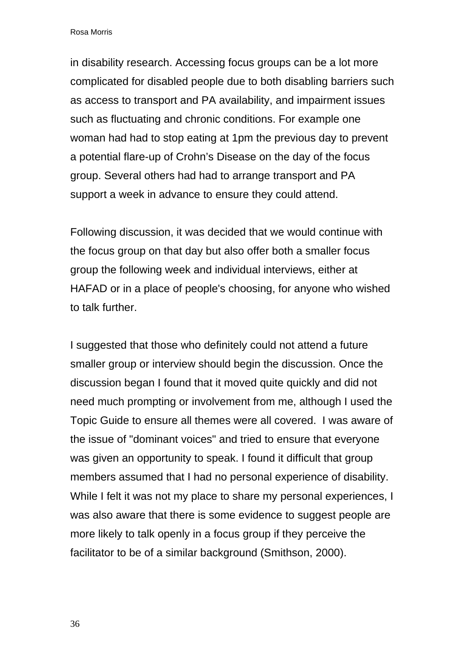in disability research. Accessing focus groups can be a lot more complicated for disabled people due to both disabling barriers such as access to transport and PA availability, and impairment issues such as fluctuating and chronic conditions. For example one woman had had to stop eating at 1pm the previous day to prevent a potential flare-up of Crohn's Disease on the day of the focus group. Several others had had to arrange transport and PA support a week in advance to ensure they could attend.

Following discussion, it was decided that we would continue with the focus group on that day but also offer both a smaller focus group the following week and individual interviews, either at HAFAD or in a place of people's choosing, for anyone who wished to talk further.

I suggested that those who definitely could not attend a future smaller group or interview should begin the discussion. Once the discussion began I found that it moved quite quickly and did not need much prompting or involvement from me, although I used the Topic Guide to ensure all themes were all covered. I was aware of the issue of "dominant voices" and tried to ensure that everyone was given an opportunity to speak. I found it difficult that group members assumed that I had no personal experience of disability. While I felt it was not my place to share my personal experiences, I was also aware that there is some evidence to suggest people are more likely to talk openly in a focus group if they perceive the facilitator to be of a similar background (Smithson, 2000).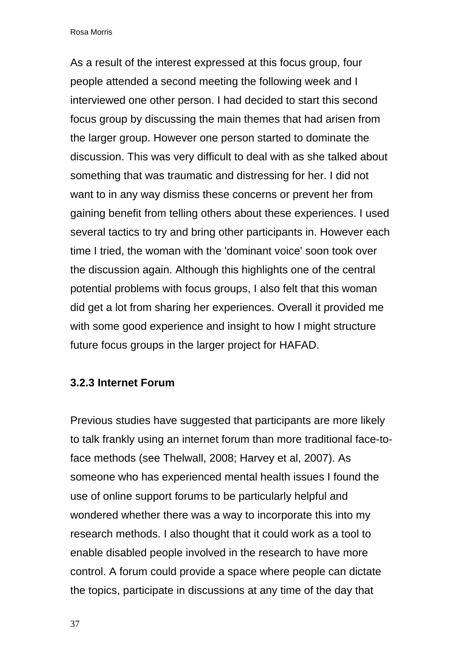As a result of the interest expressed at this focus group, four people attended a second meeting the following week and I interviewed one other person. I had decided to start this second focus group by discussing the main themes that had arisen from the larger group. However one person started to dominate the discussion. This was very difficult to deal with as she talked about something that was traumatic and distressing for her. I did not want to in any way dismiss these concerns or prevent her from gaining benefit from telling others about these experiences. I used several tactics to try and bring other participants in. However each time I tried, the woman with the 'dominant voice' soon took over the discussion again. Although this highlights one of the central potential problems with focus groups, I also felt that this woman did get a lot from sharing her experiences. Overall it provided me with some good experience and insight to how I might structure future focus groups in the larger project for HAFAD.

#### **3.2.3 Internet Forum**

Previous studies have suggested that participants are more likely to talk frankly using an internet forum than more traditional face-toface methods (see Thelwall, 2008; Harvey et al, 2007). As someone who has experienced mental health issues I found the use of online support forums to be particularly helpful and wondered whether there was a way to incorporate this into my research methods. I also thought that it could work as a tool to enable disabled people involved in the research to have more control. A forum could provide a space where people can dictate the topics, participate in discussions at any time of the day that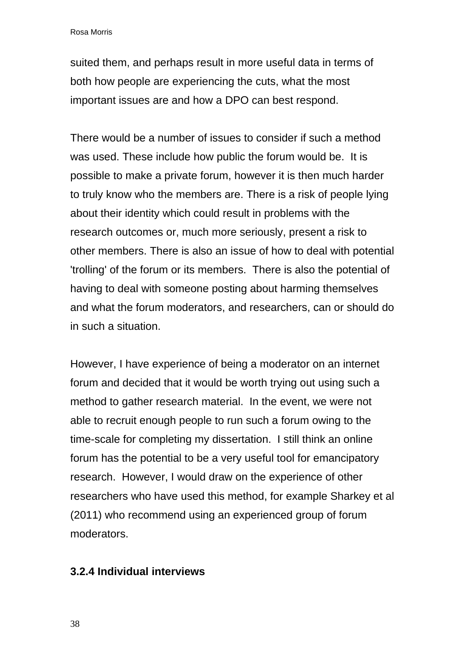suited them, and perhaps result in more useful data in terms of both how people are experiencing the cuts, what the most important issues are and how a DPO can best respond.

There would be a number of issues to consider if such a method was used. These include how public the forum would be. It is possible to make a private forum, however it is then much harder to truly know who the members are. There is a risk of people lying about their identity which could result in problems with the research outcomes or, much more seriously, present a risk to other members. There is also an issue of how to deal with potential 'trolling' of the forum or its members. There is also the potential of having to deal with someone posting about harming themselves and what the forum moderators, and researchers, can or should do in such a situation.

However, I have experience of being a moderator on an internet forum and decided that it would be worth trying out using such a method to gather research material. In the event, we were not able to recruit enough people to run such a forum owing to the time-scale for completing my dissertation. I still think an online forum has the potential to be a very useful tool for emancipatory research. However, I would draw on the experience of other researchers who have used this method, for example Sharkey et al (2011) who recommend using an experienced group of forum moderators.

#### **3.2.4 Individual interviews**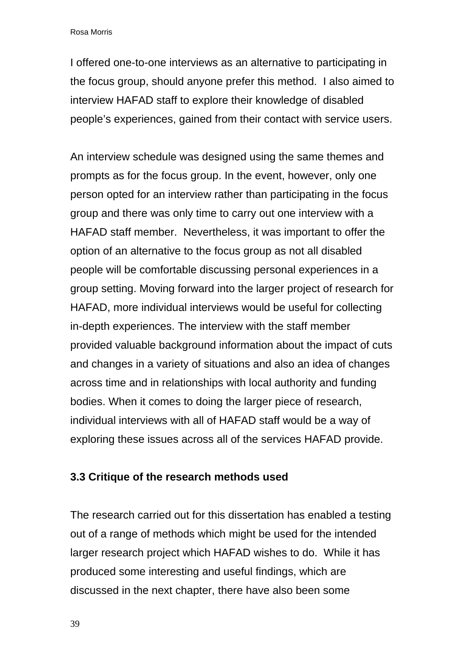I offered one-to-one interviews as an alternative to participating in the focus group, should anyone prefer this method. I also aimed to interview HAFAD staff to explore their knowledge of disabled people's experiences, gained from their contact with service users.

An interview schedule was designed using the same themes and prompts as for the focus group. In the event, however, only one person opted for an interview rather than participating in the focus group and there was only time to carry out one interview with a HAFAD staff member. Nevertheless, it was important to offer the option of an alternative to the focus group as not all disabled people will be comfortable discussing personal experiences in a group setting. Moving forward into the larger project of research for HAFAD, more individual interviews would be useful for collecting in-depth experiences. The interview with the staff member provided valuable background information about the impact of cuts and changes in a variety of situations and also an idea of changes across time and in relationships with local authority and funding bodies. When it comes to doing the larger piece of research, individual interviews with all of HAFAD staff would be a way of exploring these issues across all of the services HAFAD provide.

#### **3.3 Critique of the research methods used**

The research carried out for this dissertation has enabled a testing out of a range of methods which might be used for the intended larger research project which HAFAD wishes to do. While it has produced some interesting and useful findings, which are discussed in the next chapter, there have also been some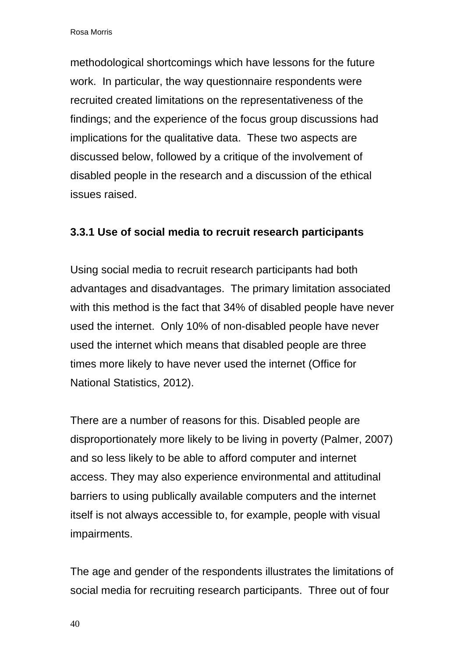methodological shortcomings which have lessons for the future work. In particular, the way questionnaire respondents were recruited created limitations on the representativeness of the findings; and the experience of the focus group discussions had implications for the qualitative data. These two aspects are discussed below, followed by a critique of the involvement of disabled people in the research and a discussion of the ethical issues raised.

#### **3.3.1 Use of social media to recruit research participants**

Using social media to recruit research participants had both advantages and disadvantages. The primary limitation associated with this method is the fact that 34% of disabled people have never used the internet. Only 10% of non-disabled people have never used the internet which means that disabled people are three times more likely to have never used the internet (Office for National Statistics, 2012).

There are a number of reasons for this. Disabled people are disproportionately more likely to be living in poverty (Palmer, 2007) and so less likely to be able to afford computer and internet access. They may also experience environmental and attitudinal barriers to using publically available computers and the internet itself is not always accessible to, for example, people with visual impairments.

The age and gender of the respondents illustrates the limitations of social media for recruiting research participants. Three out of four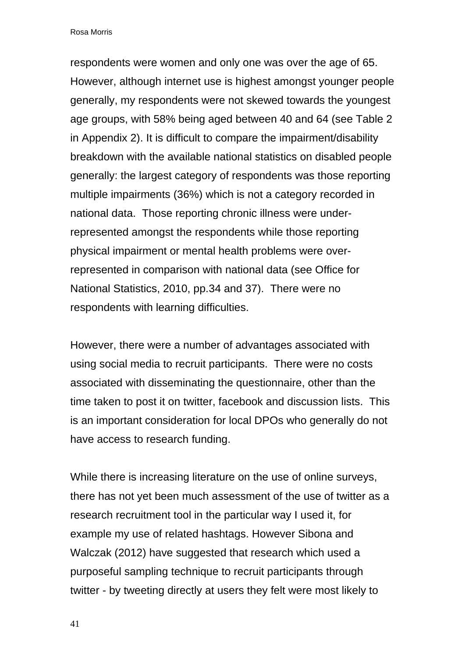respondents were women and only one was over the age of 65. However, although internet use is highest amongst younger people generally, my respondents were not skewed towards the youngest age groups, with 58% being aged between 40 and 64 (see Table 2 in Appendix 2). It is difficult to compare the impairment/disability breakdown with the available national statistics on disabled people generally: the largest category of respondents was those reporting multiple impairments (36%) which is not a category recorded in national data. Those reporting chronic illness were underrepresented amongst the respondents while those reporting physical impairment or mental health problems were overrepresented in comparison with national data (see Office for National Statistics, 2010, pp.34 and 37). There were no respondents with learning difficulties.

However, there were a number of advantages associated with using social media to recruit participants. There were no costs associated with disseminating the questionnaire, other than the time taken to post it on twitter, facebook and discussion lists. This is an important consideration for local DPOs who generally do not have access to research funding.

While there is increasing literature on the use of online surveys, there has not yet been much assessment of the use of twitter as a research recruitment tool in the particular way I used it, for example my use of related hashtags. However Sibona and Walczak (2012) have suggested that research which used a purposeful sampling technique to recruit participants through twitter - by tweeting directly at users they felt were most likely to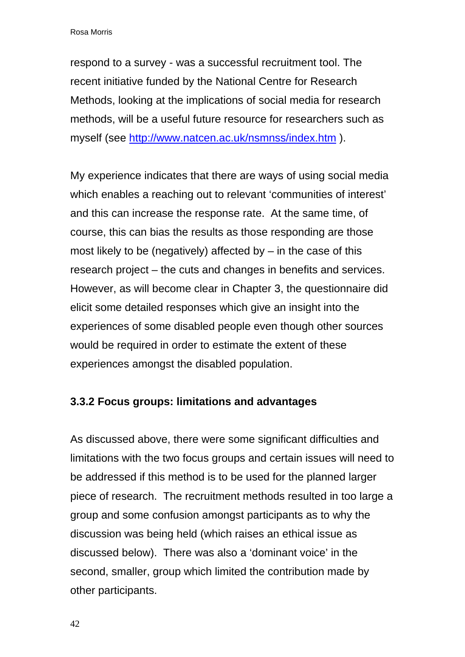respond to a survey - was a successful recruitment tool. The recent initiative funded by the National Centre for Research Methods, looking at the implications of social media for research methods, will be a useful future resource for researchers such as myself (see<http://www.natcen.ac.uk/nsmnss/index.htm>).

My experience indicates that there are ways of using social media which enables a reaching out to relevant 'communities of interest' and this can increase the response rate. At the same time, of course, this can bias the results as those responding are those most likely to be (negatively) affected by  $-$  in the case of this research project – the cuts and changes in benefits and services. However, as will become clear in Chapter 3, the questionnaire did elicit some detailed responses which give an insight into the experiences of some disabled people even though other sources would be required in order to estimate the extent of these experiences amongst the disabled population.

#### **3.3.2 Focus groups: limitations and advantages**

As discussed above, there were some significant difficulties and limitations with the two focus groups and certain issues will need to be addressed if this method is to be used for the planned larger piece of research. The recruitment methods resulted in too large a group and some confusion amongst participants as to why the discussion was being held (which raises an ethical issue as discussed below). There was also a 'dominant voice' in the second, smaller, group which limited the contribution made by other participants.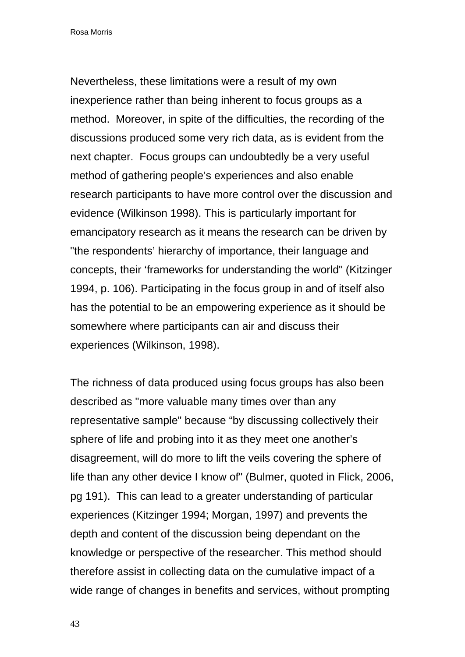Nevertheless, these limitations were a result of my own inexperience rather than being inherent to focus groups as a method. Moreover, in spite of the difficulties, the recording of the discussions produced some very rich data, as is evident from the next chapter. Focus groups can undoubtedly be a very useful method of gathering people's experiences and also enable research participants to have more control over the discussion and evidence (Wilkinson 1998). This is particularly important for emancipatory research as it means the research can be driven by "the respondents' hierarchy of importance, their language and concepts, their 'frameworks for understanding the world" (Kitzinger 1994, p. 106). Participating in the focus group in and of itself also has the potential to be an empowering experience as it should be somewhere where participants can air and discuss their experiences (Wilkinson, 1998).

The richness of data produced using focus groups has also been described as "more valuable many times over than any representative sample" because "by discussing collectively their sphere of life and probing into it as they meet one another's disagreement, will do more to lift the veils covering the sphere of life than any other device I know of" (Bulmer, quoted in Flick, 2006, pg 191). This can lead to a greater understanding of particular experiences (Kitzinger 1994; Morgan, 1997) and prevents the depth and content of the discussion being dependant on the knowledge or perspective of the researcher. This method should therefore assist in collecting data on the cumulative impact of a wide range of changes in benefits and services, without prompting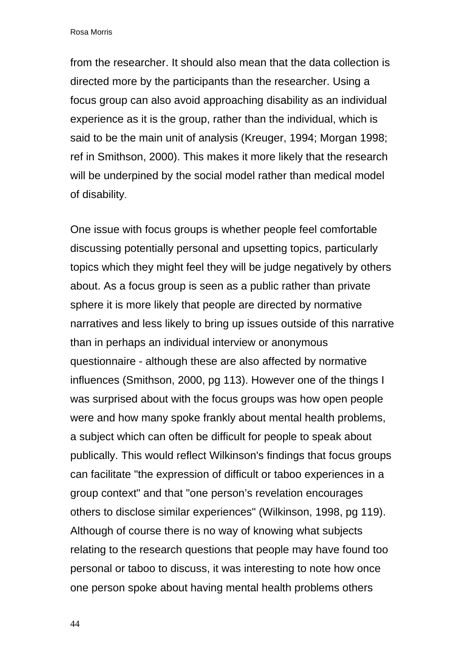from the researcher. It should also mean that the data collection is directed more by the participants than the researcher. Using a focus group can also avoid approaching disability as an individual experience as it is the group, rather than the individual, which is said to be the main unit of analysis (Kreuger, 1994; Morgan 1998; ref in Smithson, 2000). This makes it more likely that the research will be underpined by the social model rather than medical model of disability.

One issue with focus groups is whether people feel comfortable discussing potentially personal and upsetting topics, particularly topics which they might feel they will be judge negatively by others about. As a focus group is seen as a public rather than private sphere it is more likely that people are directed by normative narratives and less likely to bring up issues outside of this narrative than in perhaps an individual interview or anonymous questionnaire - although these are also affected by normative influences (Smithson, 2000, pg 113). However one of the things I was surprised about with the focus groups was how open people were and how many spoke frankly about mental health problems, a subject which can often be difficult for people to speak about publically. This would reflect Wilkinson's findings that focus groups can facilitate "the expression of difficult or taboo experiences in a group context" and that "one person's revelation encourages others to disclose similar experiences" (Wilkinson, 1998, pg 119). Although of course there is no way of knowing what subjects relating to the research questions that people may have found too personal or taboo to discuss, it was interesting to note how once one person spoke about having mental health problems others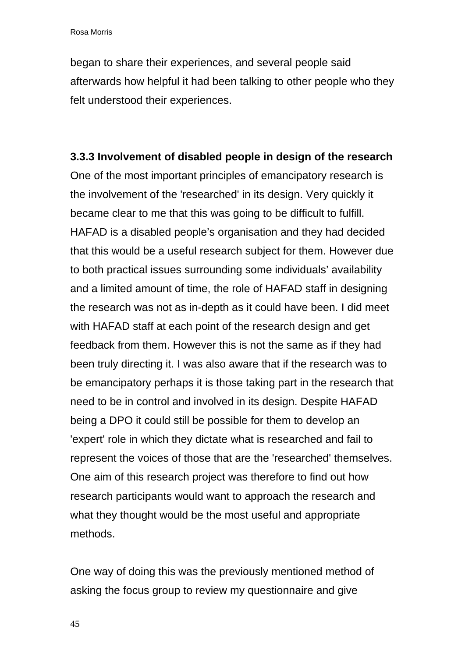began to share their experiences, and several people said afterwards how helpful it had been talking to other people who they felt understood their experiences.

# **3.3.3 Involvement of disabled people in design of the research**

One of the most important principles of emancipatory research is the involvement of the 'researched' in its design. Very quickly it became clear to me that this was going to be difficult to fulfill. HAFAD is a disabled people's organisation and they had decided that this would be a useful research subject for them. However due to both practical issues surrounding some individuals' availability and a limited amount of time, the role of HAFAD staff in designing the research was not as in-depth as it could have been. I did meet with HAFAD staff at each point of the research design and get feedback from them. However this is not the same as if they had been truly directing it. I was also aware that if the research was to be emancipatory perhaps it is those taking part in the research that need to be in control and involved in its design. Despite HAFAD being a DPO it could still be possible for them to develop an 'expert' role in which they dictate what is researched and fail to represent the voices of those that are the 'researched' themselves. One aim of this research project was therefore to find out how research participants would want to approach the research and what they thought would be the most useful and appropriate methods.

One way of doing this was the previously mentioned method of asking the focus group to review my questionnaire and give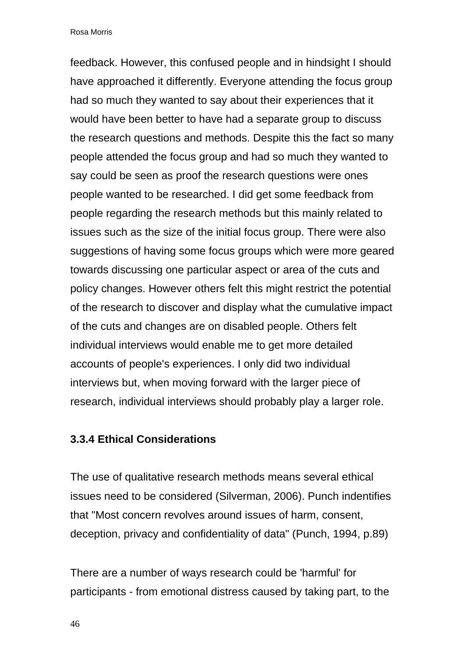feedback. However, this confused people and in hindsight I should have approached it differently. Everyone attending the focus group had so much they wanted to say about their experiences that it would have been better to have had a separate group to discuss the research questions and methods. Despite this the fact so many people attended the focus group and had so much they wanted to say could be seen as proof the research questions were ones people wanted to be researched. I did get some feedback from people regarding the research methods but this mainly related to issues such as the size of the initial focus group. There were also suggestions of having some focus groups which were more geared towards discussing one particular aspect or area of the cuts and policy changes. However others felt this might restrict the potential of the research to discover and display what the cumulative impact of the cuts and changes are on disabled people. Others felt individual interviews would enable me to get more detailed accounts of people's experiences. I only did two individual interviews but, when moving forward with the larger piece of research, individual interviews should probably play a larger role.

#### **3.3.4 Ethical Considerations**

The use of qualitative research methods means several ethical issues need to be considered (Silverman, 2006). Punch indentifies that "Most concern revolves around issues of harm, consent, deception, privacy and confidentiality of data" (Punch, 1994, p.89)

There are a number of ways research could be 'harmful' for participants - from emotional distress caused by taking part, to the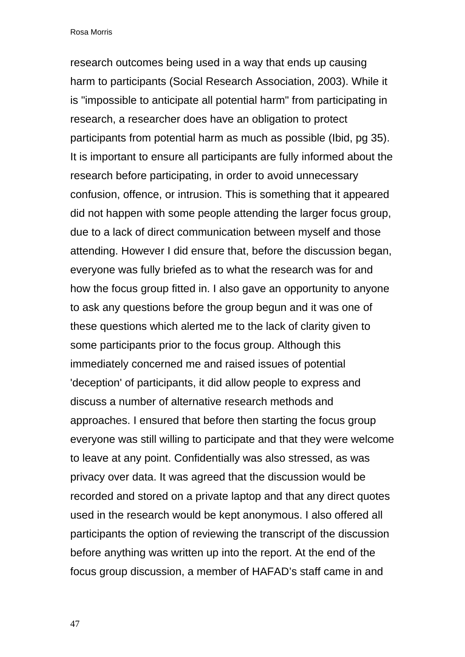research outcomes being used in a way that ends up causing harm to participants (Social Research Association, 2003). While it is "impossible to anticipate all potential harm" from participating in research, a researcher does have an obligation to protect participants from potential harm as much as possible (Ibid, pg 35). It is important to ensure all participants are fully informed about the research before participating, in order to avoid unnecessary confusion, offence, or intrusion. This is something that it appeared did not happen with some people attending the larger focus group, due to a lack of direct communication between myself and those attending. However I did ensure that, before the discussion began, everyone was fully briefed as to what the research was for and how the focus group fitted in. I also gave an opportunity to anyone to ask any questions before the group begun and it was one of these questions which alerted me to the lack of clarity given to some participants prior to the focus group. Although this immediately concerned me and raised issues of potential 'deception' of participants, it did allow people to express and discuss a number of alternative research methods and approaches. I ensured that before then starting the focus group everyone was still willing to participate and that they were welcome to leave at any point. Confidentially was also stressed, as was privacy over data. It was agreed that the discussion would be recorded and stored on a private laptop and that any direct quotes used in the research would be kept anonymous. I also offered all participants the option of reviewing the transcript of the discussion before anything was written up into the report. At the end of the focus group discussion, a member of HAFAD's staff came in and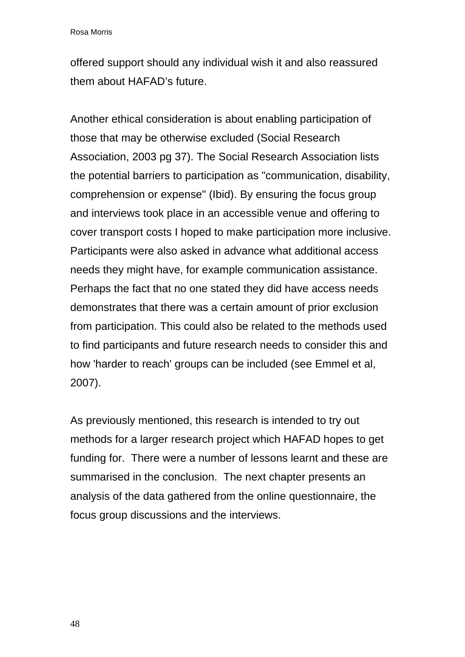offered support should any individual wish it and also reassured them about HAFAD's future.

Another ethical consideration is about enabling participation of those that may be otherwise excluded (Social Research Association, 2003 pg 37). The Social Research Association lists the potential barriers to participation as "communication, disability, comprehension or expense" (Ibid). By ensuring the focus group and interviews took place in an accessible venue and offering to cover transport costs I hoped to make participation more inclusive. Participants were also asked in advance what additional access needs they might have, for example communication assistance. Perhaps the fact that no one stated they did have access needs demonstrates that there was a certain amount of prior exclusion from participation. This could also be related to the methods used to find participants and future research needs to consider this and how 'harder to reach' groups can be included (see Emmel et al, 2007).

As previously mentioned, this research is intended to try out methods for a larger research project which HAFAD hopes to get funding for. There were a number of lessons learnt and these are summarised in the conclusion. The next chapter presents an analysis of the data gathered from the online questionnaire, the focus group discussions and the interviews.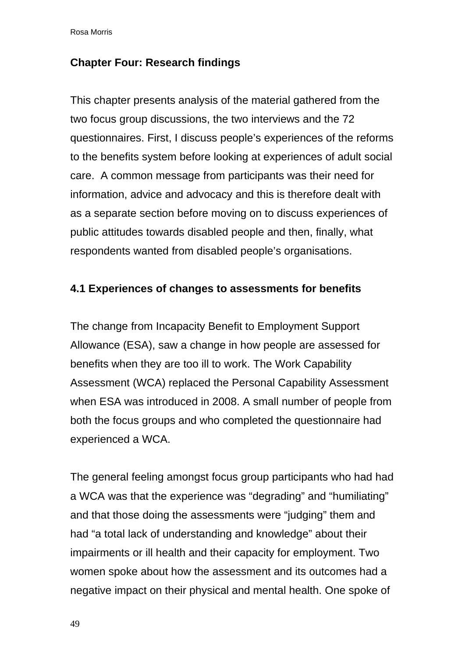## **Chapter Four: Research findings**

This chapter presents analysis of the material gathered from the two focus group discussions, the two interviews and the 72 questionnaires. First, I discuss people's experiences of the reforms to the benefits system before looking at experiences of adult social care. A common message from participants was their need for information, advice and advocacy and this is therefore dealt with as a separate section before moving on to discuss experiences of public attitudes towards disabled people and then, finally, what respondents wanted from disabled people's organisations.

## **4.1 Experiences of changes to assessments for benefits**

The change from Incapacity Benefit to Employment Support Allowance (ESA), saw a change in how people are assessed for benefits when they are too ill to work. The Work Capability Assessment (WCA) replaced the Personal Capability Assessment when ESA was introduced in 2008. A small number of people from both the focus groups and who completed the questionnaire had experienced a WCA.

The general feeling amongst focus group participants who had had a WCA was that the experience was "degrading" and "humiliating" and that those doing the assessments were "judging" them and had "a total lack of understanding and knowledge" about their impairments or ill health and their capacity for employment. Two women spoke about how the assessment and its outcomes had a negative impact on their physical and mental health. One spoke of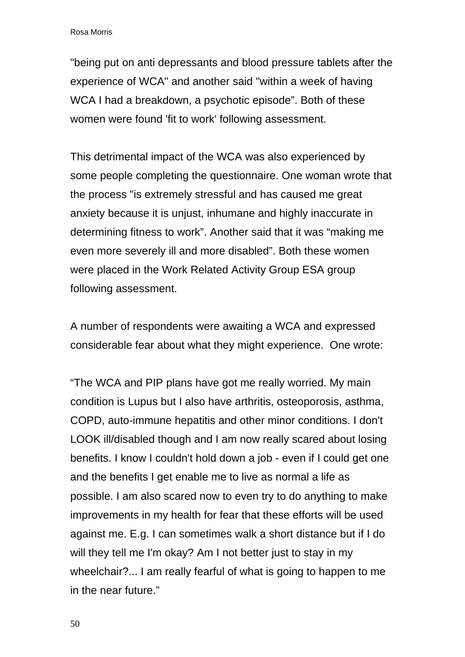"being put on anti depressants and blood pressure tablets after the experience of WCA" and another said "within a week of having WCA I had a breakdown, a psychotic episode". Both of these women were found 'fit to work' following assessment.

This detrimental impact of the WCA was also experienced by some people completing the questionnaire. One woman wrote that the process "is extremely stressful and has caused me great anxiety because it is unjust, inhumane and highly inaccurate in determining fitness to work". Another said that it was "making me even more severely ill and more disabled". Both these women were placed in the Work Related Activity Group ESA group following assessment.

A number of respondents were awaiting a WCA and expressed considerable fear about what they might experience. One wrote:

"The WCA and PIP plans have got me really worried. My main condition is Lupus but I also have arthritis, osteoporosis, asthma, COPD, auto-immune hepatitis and other minor conditions. I don't LOOK ill/disabled though and I am now really scared about losing benefits. I know I couldn't hold down a job - even if I could get one and the benefits I get enable me to live as normal a life as possible. I am also scared now to even try to do anything to make improvements in my health for fear that these efforts will be used against me. E.g. I can sometimes walk a short distance but if I do will they tell me I'm okay? Am I not better just to stay in my wheelchair?... I am really fearful of what is going to happen to me in the near future."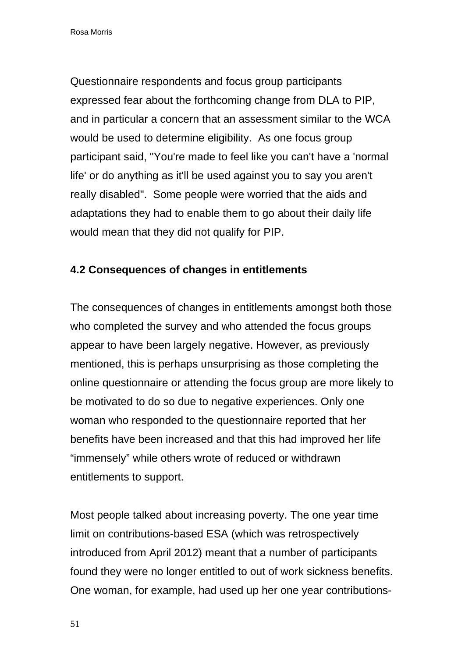Questionnaire respondents and focus group participants expressed fear about the forthcoming change from DLA to PIP, and in particular a concern that an assessment similar to the WCA would be used to determine eligibility. As one focus group participant said, "You're made to feel like you can't have a 'normal life' or do anything as it'll be used against you to say you aren't really disabled". Some people were worried that the aids and adaptations they had to enable them to go about their daily life would mean that they did not qualify for PIP.

## **4.2 Consequences of changes in entitlements**

The consequences of changes in entitlements amongst both those who completed the survey and who attended the focus groups appear to have been largely negative. However, as previously mentioned, this is perhaps unsurprising as those completing the online questionnaire or attending the focus group are more likely to be motivated to do so due to negative experiences. Only one woman who responded to the questionnaire reported that her benefits have been increased and that this had improved her life "immensely" while others wrote of reduced or withdrawn entitlements to support.

Most people talked about increasing poverty. The one year time limit on contributions-based ESA (which was retrospectively introduced from April 2012) meant that a number of participants found they were no longer entitled to out of work sickness benefits. One woman, for example, had used up her one year contributions-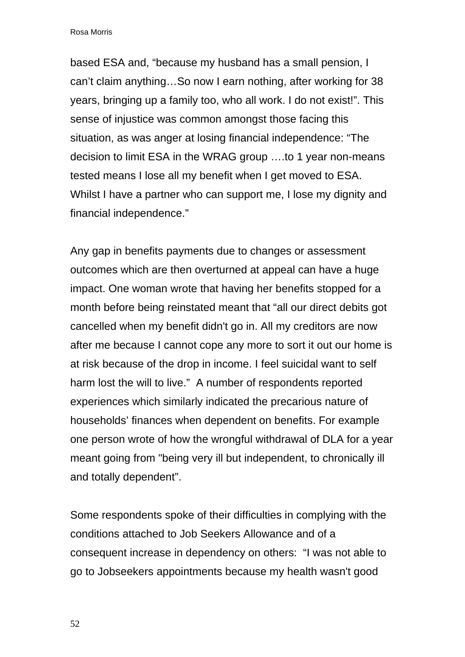based ESA and, "because my husband has a small pension, I can't claim anything…So now I earn nothing, after working for 38 years, bringing up a family too, who all work. I do not exist!". This sense of injustice was common amongst those facing this situation, as was anger at losing financial independence: "The decision to limit ESA in the WRAG group ….to 1 year non-means tested means I lose all my benefit when I get moved to ESA. Whilst I have a partner who can support me, I lose my dignity and financial independence."

Any gap in benefits payments due to changes or assessment outcomes which are then overturned at appeal can have a huge impact. One woman wrote that having her benefits stopped for a month before being reinstated meant that "all our direct debits got cancelled when my benefit didn't go in. All my creditors are now after me because I cannot cope any more to sort it out our home is at risk because of the drop in income. I feel suicidal want to self harm lost the will to live." A number of respondents reported experiences which similarly indicated the precarious nature of households' finances when dependent on benefits. For example one person wrote of how the wrongful withdrawal of DLA for a year meant going from "being very ill but independent, to chronically ill and totally dependent".

Some respondents spoke of their difficulties in complying with the conditions attached to Job Seekers Allowance and of a consequent increase in dependency on others: "I was not able to go to Jobseekers appointments because my health wasn't good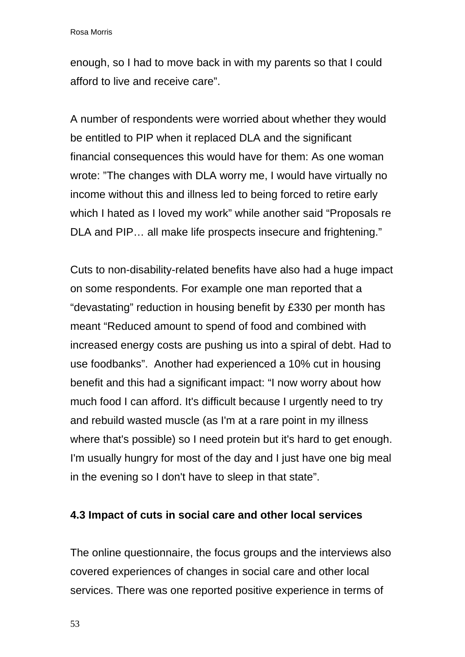enough, so I had to move back in with my parents so that I could afford to live and receive care".

A number of respondents were worried about whether they would be entitled to PIP when it replaced DLA and the significant financial consequences this would have for them: As one woman wrote: "The changes with DLA worry me, I would have virtually no income without this and illness led to being forced to retire early which I hated as I loved my work" while another said "Proposals re DLA and PIP… all make life prospects insecure and frightening."

Cuts to non-disability-related benefits have also had a huge impact on some respondents. For example one man reported that a "devastating" reduction in housing benefit by £330 per month has meant "Reduced amount to spend of food and combined with increased energy costs are pushing us into a spiral of debt. Had to use foodbanks". Another had experienced a 10% cut in housing benefit and this had a significant impact: "I now worry about how much food I can afford. It's difficult because I urgently need to try and rebuild wasted muscle (as I'm at a rare point in my illness where that's possible) so I need protein but it's hard to get enough. I'm usually hungry for most of the day and I just have one big meal in the evening so I don't have to sleep in that state".

#### **4.3 Impact of cuts in social care and other local services**

The online questionnaire, the focus groups and the interviews also covered experiences of changes in social care and other local services. There was one reported positive experience in terms of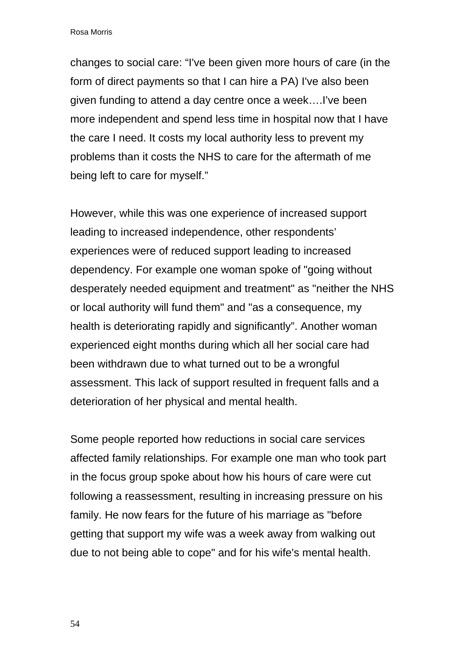changes to social care: "I've been given more hours of care (in the form of direct payments so that I can hire a PA) I've also been given funding to attend a day centre once a week….I've been more independent and spend less time in hospital now that I have the care I need. It costs my local authority less to prevent my problems than it costs the NHS to care for the aftermath of me being left to care for myself."

However, while this was one experience of increased support leading to increased independence, other respondents' experiences were of reduced support leading to increased dependency. For example one woman spoke of "going without desperately needed equipment and treatment" as "neither the NHS or local authority will fund them" and "as a consequence, my health is deteriorating rapidly and significantly". Another woman experienced eight months during which all her social care had been withdrawn due to what turned out to be a wrongful assessment. This lack of support resulted in frequent falls and a deterioration of her physical and mental health.

Some people reported how reductions in social care services affected family relationships. For example one man who took part in the focus group spoke about how his hours of care were cut following a reassessment, resulting in increasing pressure on his family. He now fears for the future of his marriage as "before getting that support my wife was a week away from walking out due to not being able to cope" and for his wife's mental health.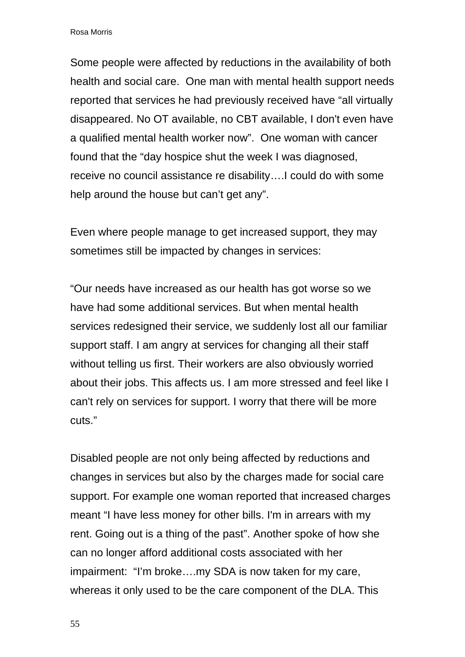Some people were affected by reductions in the availability of both health and social care. One man with mental health support needs reported that services he had previously received have "all virtually disappeared. No OT available, no CBT available, I don't even have a qualified mental health worker now". One woman with cancer found that the "day hospice shut the week I was diagnosed, receive no council assistance re disability….I could do with some help around the house but can't get any".

Even where people manage to get increased support, they may sometimes still be impacted by changes in services:

"Our needs have increased as our health has got worse so we have had some additional services. But when mental health services redesigned their service, we suddenly lost all our familiar support staff. I am angry at services for changing all their staff without telling us first. Their workers are also obviously worried about their jobs. This affects us. I am more stressed and feel like I can't rely on services for support. I worry that there will be more cuts."

Disabled people are not only being affected by reductions and changes in services but also by the charges made for social care support. For example one woman reported that increased charges meant "I have less money for other bills. I'm in arrears with my rent. Going out is a thing of the past". Another spoke of how she can no longer afford additional costs associated with her impairment: "I'm broke….my SDA is now taken for my care, whereas it only used to be the care component of the DLA. This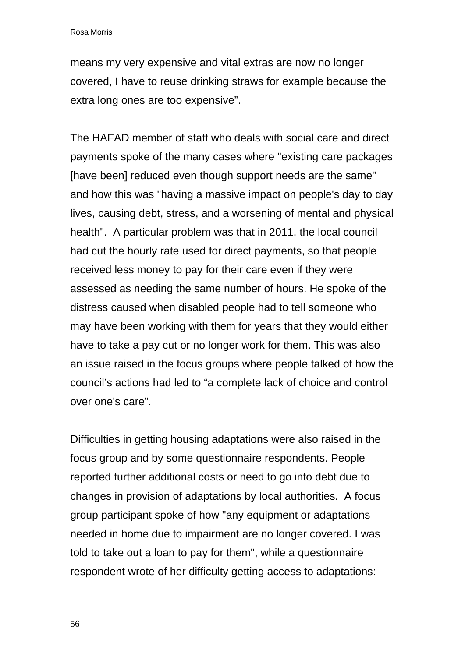means my very expensive and vital extras are now no longer covered, I have to reuse drinking straws for example because the extra long ones are too expensive".

The HAFAD member of staff who deals with social care and direct payments spoke of the many cases where "existing care packages [have been] reduced even though support needs are the same" and how this was "having a massive impact on people's day to day lives, causing debt, stress, and a worsening of mental and physical health". A particular problem was that in 2011, the local council had cut the hourly rate used for direct payments, so that people received less money to pay for their care even if they were assessed as needing the same number of hours. He spoke of the distress caused when disabled people had to tell someone who may have been working with them for years that they would either have to take a pay cut or no longer work for them. This was also an issue raised in the focus groups where people talked of how the council's actions had led to "a complete lack of choice and control over one's care".

Difficulties in getting housing adaptations were also raised in the focus group and by some questionnaire respondents. People reported further additional costs or need to go into debt due to changes in provision of adaptations by local authorities. A focus group participant spoke of how "any equipment or adaptations needed in home due to impairment are no longer covered. I was told to take out a loan to pay for them", while a questionnaire respondent wrote of her difficulty getting access to adaptations: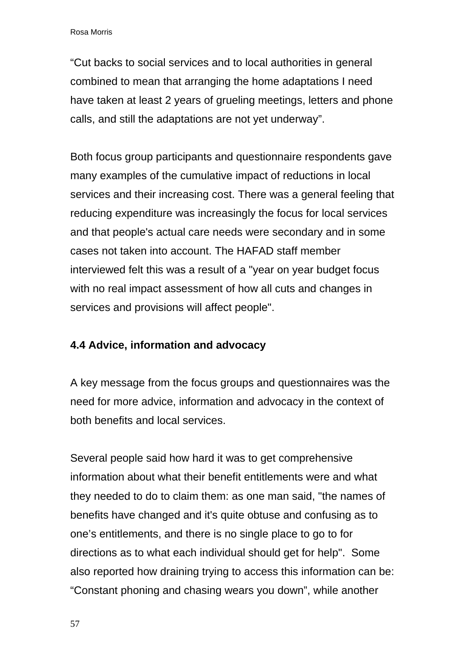"Cut backs to social services and to local authorities in general combined to mean that arranging the home adaptations I need have taken at least 2 years of grueling meetings, letters and phone calls, and still the adaptations are not yet underway".

Both focus group participants and questionnaire respondents gave many examples of the cumulative impact of reductions in local services and their increasing cost. There was a general feeling that reducing expenditure was increasingly the focus for local services and that people's actual care needs were secondary and in some cases not taken into account. The HAFAD staff member interviewed felt this was a result of a "year on year budget focus with no real impact assessment of how all cuts and changes in services and provisions will affect people".

## **4.4 Advice, information and advocacy**

A key message from the focus groups and questionnaires was the need for more advice, information and advocacy in the context of both benefits and local services.

Several people said how hard it was to get comprehensive information about what their benefit entitlements were and what they needed to do to claim them: as one man said, "the names of benefits have changed and it's quite obtuse and confusing as to one's entitlements, and there is no single place to go to for directions as to what each individual should get for help". Some also reported how draining trying to access this information can be: "Constant phoning and chasing wears you down", while another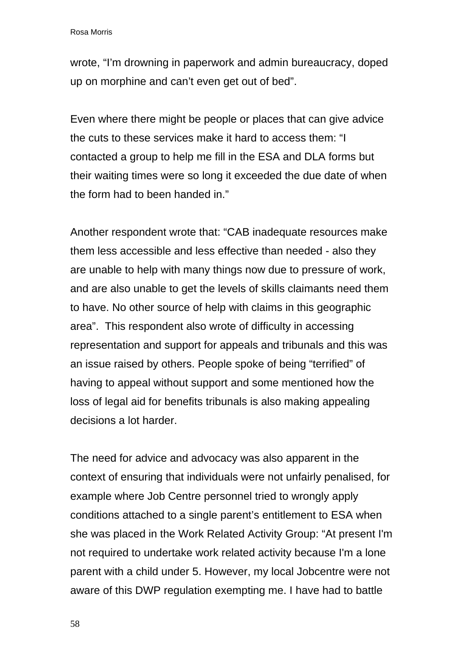wrote, "I'm drowning in paperwork and admin bureaucracy, doped up on morphine and can't even get out of bed".

Even where there might be people or places that can give advice the cuts to these services make it hard to access them: "I contacted a group to help me fill in the ESA and DLA forms but their waiting times were so long it exceeded the due date of when the form had to been handed in."

Another respondent wrote that: "CAB inadequate resources make them less accessible and less effective than needed - also they are unable to help with many things now due to pressure of work, and are also unable to get the levels of skills claimants need them to have. No other source of help with claims in this geographic area". This respondent also wrote of difficulty in accessing representation and support for appeals and tribunals and this was an issue raised by others. People spoke of being "terrified" of having to appeal without support and some mentioned how the loss of legal aid for benefits tribunals is also making appealing decisions a lot harder.

The need for advice and advocacy was also apparent in the context of ensuring that individuals were not unfairly penalised, for example where Job Centre personnel tried to wrongly apply conditions attached to a single parent's entitlement to ESA when she was placed in the Work Related Activity Group: "At present I'm not required to undertake work related activity because I'm a lone parent with a child under 5. However, my local Jobcentre were not aware of this DWP regulation exempting me. I have had to battle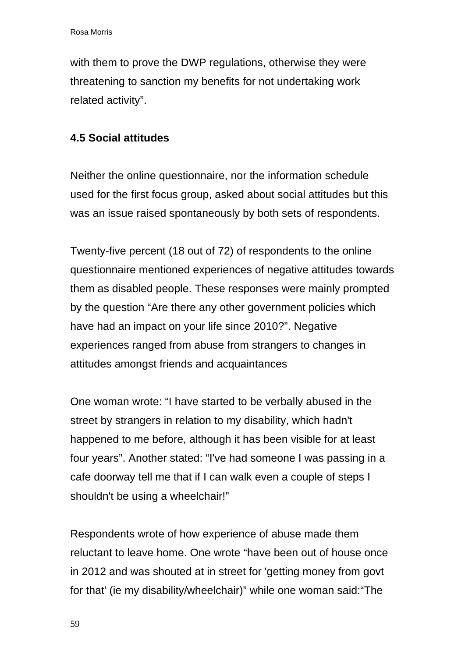with them to prove the DWP regulations, otherwise they were threatening to sanction my benefits for not undertaking work related activity".

# **4.5 Social attitudes**

Neither the online questionnaire, nor the information schedule used for the first focus group, asked about social attitudes but this was an issue raised spontaneously by both sets of respondents.

Twenty-five percent (18 out of 72) of respondents to the online questionnaire mentioned experiences of negative attitudes towards them as disabled people. These responses were mainly prompted by the question "Are there any other government policies which have had an impact on your life since 2010?". Negative experiences ranged from abuse from strangers to changes in attitudes amongst friends and acquaintances

One woman wrote: "I have started to be verbally abused in the street by strangers in relation to my disability, which hadn't happened to me before, although it has been visible for at least four years". Another stated: "I've had someone I was passing in a cafe doorway tell me that if I can walk even a couple of steps I shouldn't be using a wheelchair!"

Respondents wrote of how experience of abuse made them reluctant to leave home. One wrote "have been out of house once in 2012 and was shouted at in street for 'getting money from govt for that' (ie my disability/wheelchair)" while one woman said:"The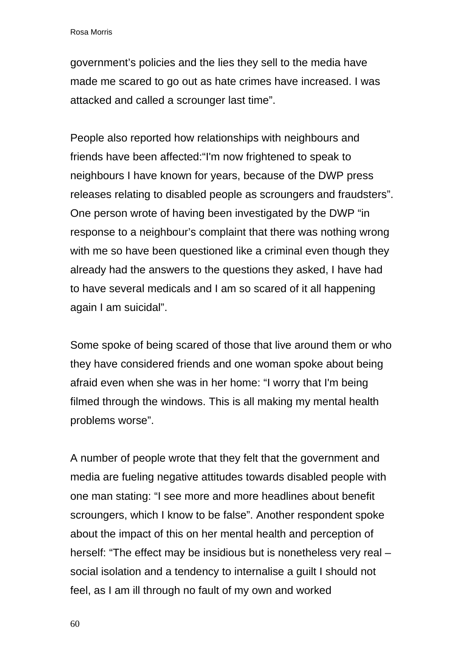government's policies and the lies they sell to the media have made me scared to go out as hate crimes have increased. I was attacked and called a scrounger last time".

People also reported how relationships with neighbours and friends have been affected:"I'm now frightened to speak to neighbours I have known for years, because of the DWP press releases relating to disabled people as scroungers and fraudsters". One person wrote of having been investigated by the DWP "in response to a neighbour's complaint that there was nothing wrong with me so have been questioned like a criminal even though they already had the answers to the questions they asked, I have had to have several medicals and I am so scared of it all happening again I am suicidal".

Some spoke of being scared of those that live around them or who they have considered friends and one woman spoke about being afraid even when she was in her home: "I worry that I'm being filmed through the windows. This is all making my mental health problems worse".

A number of people wrote that they felt that the government and media are fueling negative attitudes towards disabled people with one man stating: "I see more and more headlines about benefit scroungers, which I know to be false". Another respondent spoke about the impact of this on her mental health and perception of herself: "The effect may be insidious but is nonetheless very real – social isolation and a tendency to internalise a guilt I should not feel, as I am ill through no fault of my own and worked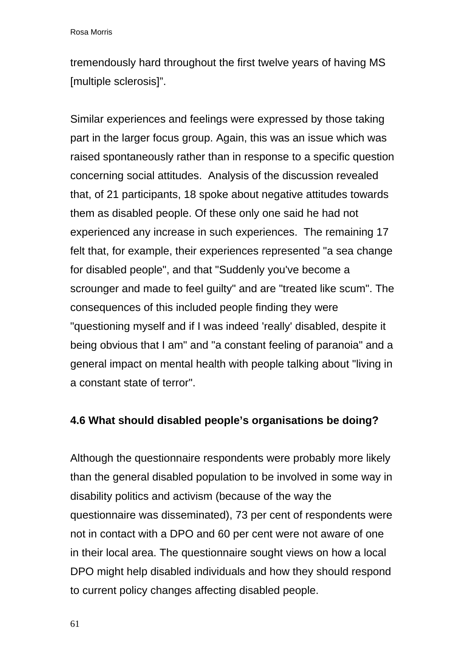tremendously hard throughout the first twelve years of having MS [multiple sclerosis]".

Similar experiences and feelings were expressed by those taking part in the larger focus group. Again, this was an issue which was raised spontaneously rather than in response to a specific question concerning social attitudes. Analysis of the discussion revealed that, of 21 participants, 18 spoke about negative attitudes towards them as disabled people. Of these only one said he had not experienced any increase in such experiences. The remaining 17 felt that, for example, their experiences represented "a sea change for disabled people", and that "Suddenly you've become a scrounger and made to feel guilty" and are "treated like scum". The consequences of this included people finding they were "questioning myself and if I was indeed 'really' disabled, despite it being obvious that I am" and "a constant feeling of paranoia" and a general impact on mental health with people talking about "living in a constant state of terror".

#### **4.6 What should disabled people's organisations be doing?**

Although the questionnaire respondents were probably more likely than the general disabled population to be involved in some way in disability politics and activism (because of the way the questionnaire was disseminated), 73 per cent of respondents were not in contact with a DPO and 60 per cent were not aware of one in their local area. The questionnaire sought views on how a local DPO might help disabled individuals and how they should respond to current policy changes affecting disabled people.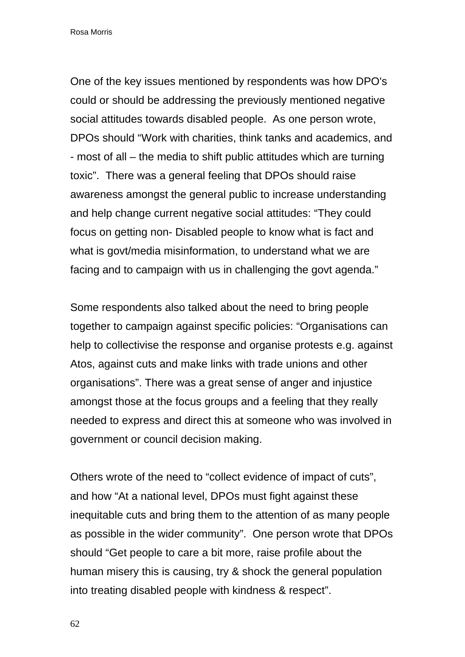One of the key issues mentioned by respondents was how DPO's could or should be addressing the previously mentioned negative social attitudes towards disabled people. As one person wrote, DPOs should "Work with charities, think tanks and academics, and - most of all – the media to shift public attitudes which are turning toxic". There was a general feeling that DPOs should raise awareness amongst the general public to increase understanding and help change current negative social attitudes: "They could focus on getting non- Disabled people to know what is fact and what is govt/media misinformation, to understand what we are facing and to campaign with us in challenging the govt agenda."

Some respondents also talked about the need to bring people together to campaign against specific policies: "Organisations can help to collectivise the response and organise protests e.g. against Atos, against cuts and make links with trade unions and other organisations". There was a great sense of anger and injustice amongst those at the focus groups and a feeling that they really needed to express and direct this at someone who was involved in government or council decision making.

Others wrote of the need to "collect evidence of impact of cuts", and how "At a national level, DPOs must fight against these inequitable cuts and bring them to the attention of as many people as possible in the wider community". One person wrote that DPOs should "Get people to care a bit more, raise profile about the human misery this is causing, try & shock the general population into treating disabled people with kindness & respect".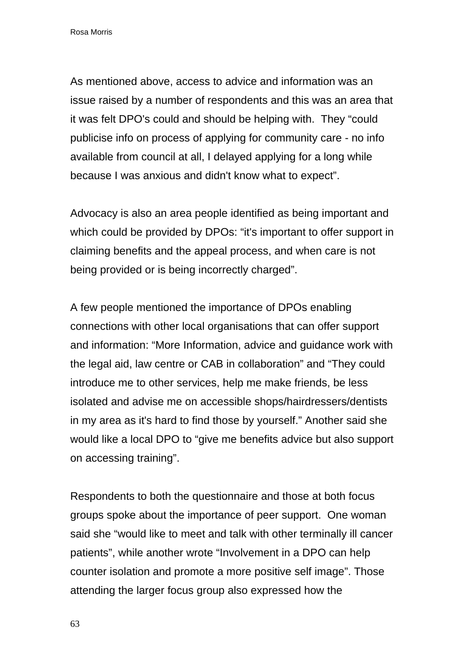As mentioned above, access to advice and information was an issue raised by a number of respondents and this was an area that it was felt DPO's could and should be helping with. They "could publicise info on process of applying for community care - no info available from council at all, I delayed applying for a long while because I was anxious and didn't know what to expect".

Advocacy is also an area people identified as being important and which could be provided by DPOs: "it's important to offer support in claiming benefits and the appeal process, and when care is not being provided or is being incorrectly charged".

A few people mentioned the importance of DPOs enabling connections with other local organisations that can offer support and information: "More Information, advice and guidance work with the legal aid, law centre or CAB in collaboration" and "They could introduce me to other services, help me make friends, be less isolated and advise me on accessible shops/hairdressers/dentists in my area as it's hard to find those by yourself." Another said she would like a local DPO to "give me benefits advice but also support on accessing training".

Respondents to both the questionnaire and those at both focus groups spoke about the importance of peer support. One woman said she "would like to meet and talk with other terminally ill cancer patients", while another wrote "Involvement in a DPO can help counter isolation and promote a more positive self image". Those attending the larger focus group also expressed how the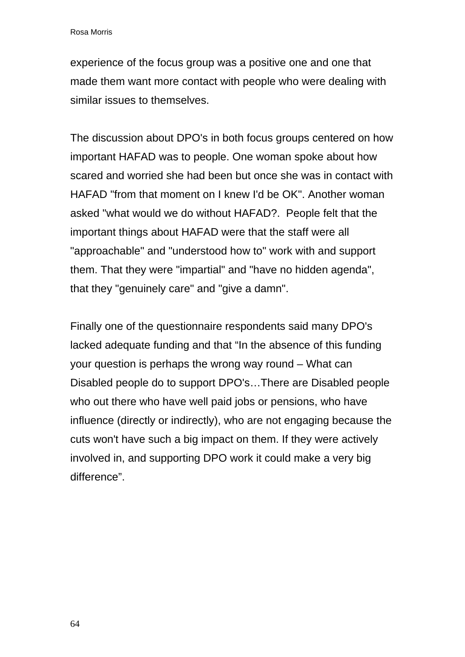experience of the focus group was a positive one and one that made them want more contact with people who were dealing with similar issues to themselves.

The discussion about DPO's in both focus groups centered on how important HAFAD was to people. One woman spoke about how scared and worried she had been but once she was in contact with HAFAD "from that moment on I knew I'd be OK". Another woman asked "what would we do without HAFAD?. People felt that the important things about HAFAD were that the staff were all "approachable" and "understood how to" work with and support them. That they were "impartial" and "have no hidden agenda", that they "genuinely care" and "give a damn".

Finally one of the questionnaire respondents said many DPO's lacked adequate funding and that "In the absence of this funding your question is perhaps the wrong way round – What can Disabled people do to support DPO's…There are Disabled people who out there who have well paid jobs or pensions, who have influence (directly or indirectly), who are not engaging because the cuts won't have such a big impact on them. If they were actively involved in, and supporting DPO work it could make a very big difference".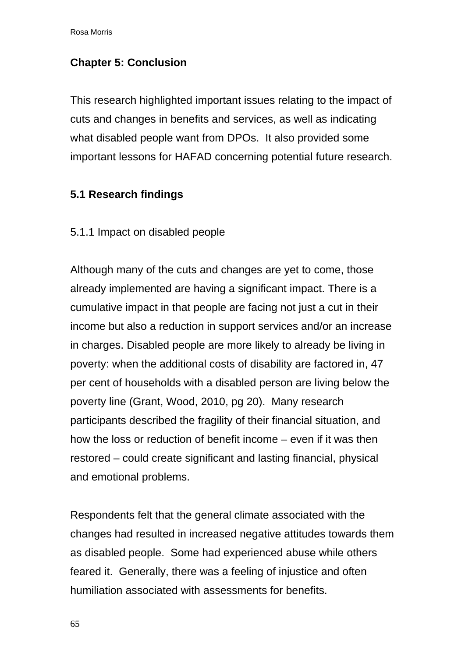# **Chapter 5: Conclusion**

This research highlighted important issues relating to the impact of cuts and changes in benefits and services, as well as indicating what disabled people want from DPOs. It also provided some important lessons for HAFAD concerning potential future research.

# **5.1 Research findings**

5.1.1 Impact on disabled people

Although many of the cuts and changes are yet to come, those already implemented are having a significant impact. There is a cumulative impact in that people are facing not just a cut in their income but also a reduction in support services and/or an increase in charges. Disabled people are more likely to already be living in poverty: when the additional costs of disability are factored in, 47 per cent of households with a disabled person are living below the poverty line (Grant, Wood, 2010, pg 20). Many research participants described the fragility of their financial situation, and how the loss or reduction of benefit income – even if it was then restored – could create significant and lasting financial, physical and emotional problems.

Respondents felt that the general climate associated with the changes had resulted in increased negative attitudes towards them as disabled people. Some had experienced abuse while others feared it. Generally, there was a feeling of injustice and often humiliation associated with assessments for benefits.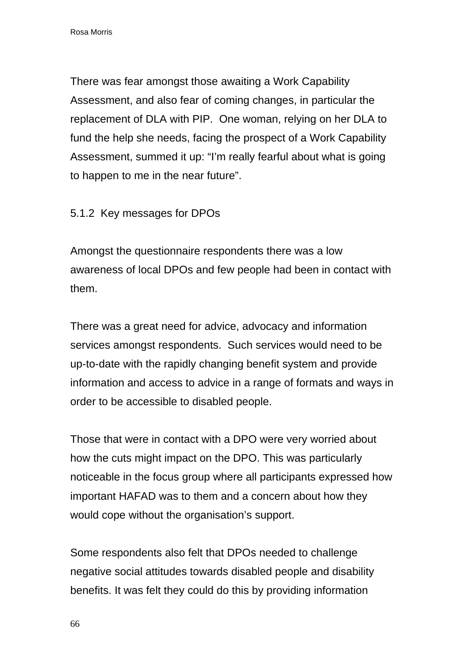There was fear amongst those awaiting a Work Capability Assessment, and also fear of coming changes, in particular the replacement of DLA with PIP. One woman, relying on her DLA to fund the help she needs, facing the prospect of a Work Capability Assessment, summed it up: "I'm really fearful about what is going to happen to me in the near future".

## 5.1.2 Key messages for DPOs

Amongst the questionnaire respondents there was a low awareness of local DPOs and few people had been in contact with them.

There was a great need for advice, advocacy and information services amongst respondents. Such services would need to be up-to-date with the rapidly changing benefit system and provide information and access to advice in a range of formats and ways in order to be accessible to disabled people.

Those that were in contact with a DPO were very worried about how the cuts might impact on the DPO. This was particularly noticeable in the focus group where all participants expressed how important HAFAD was to them and a concern about how they would cope without the organisation's support.

Some respondents also felt that DPOs needed to challenge negative social attitudes towards disabled people and disability benefits. It was felt they could do this by providing information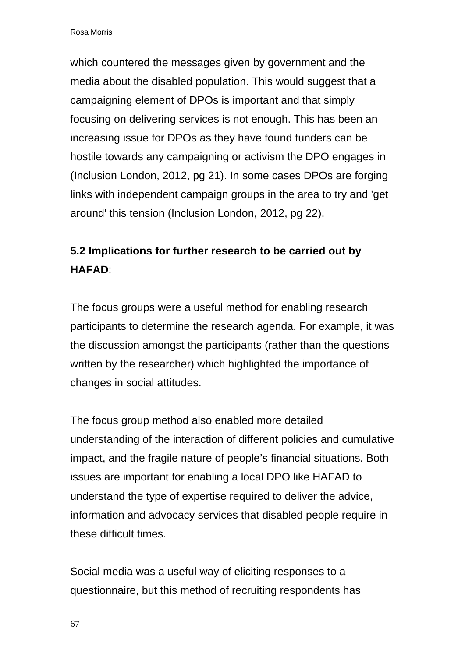which countered the messages given by government and the media about the disabled population. This would suggest that a campaigning element of DPOs is important and that simply focusing on delivering services is not enough. This has been an increasing issue for DPOs as they have found funders can be hostile towards any campaigning or activism the DPO engages in (Inclusion London, 2012, pg 21). In some cases DPOs are forging links with independent campaign groups in the area to try and 'get around' this tension (Inclusion London, 2012, pg 22).

# **5.2 Implications for further research to be carried out by HAFAD**:

The focus groups were a useful method for enabling research participants to determine the research agenda. For example, it was the discussion amongst the participants (rather than the questions written by the researcher) which highlighted the importance of changes in social attitudes.

The focus group method also enabled more detailed understanding of the interaction of different policies and cumulative impact, and the fragile nature of people's financial situations. Both issues are important for enabling a local DPO like HAFAD to understand the type of expertise required to deliver the advice, information and advocacy services that disabled people require in these difficult times.

Social media was a useful way of eliciting responses to a questionnaire, but this method of recruiting respondents has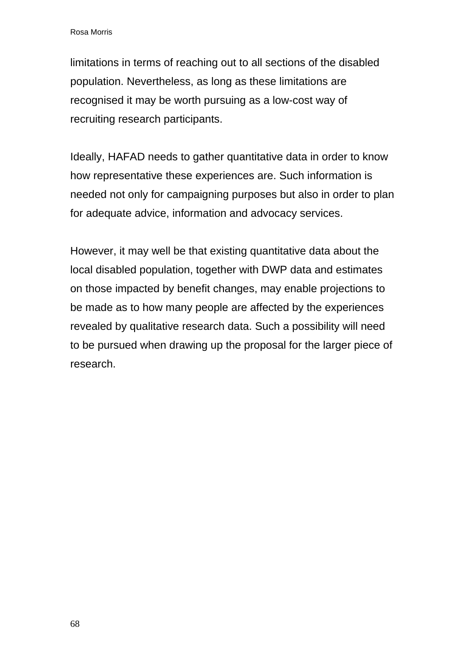limitations in terms of reaching out to all sections of the disabled population. Nevertheless, as long as these limitations are recognised it may be worth pursuing as a low-cost way of recruiting research participants.

Ideally, HAFAD needs to gather quantitative data in order to know how representative these experiences are. Such information is needed not only for campaigning purposes but also in order to plan for adequate advice, information and advocacy services.

However, it may well be that existing quantitative data about the local disabled population, together with DWP data and estimates on those impacted by benefit changes, may enable projections to be made as to how many people are affected by the experiences revealed by qualitative research data. Such a possibility will need to be pursued when drawing up the proposal for the larger piece of research.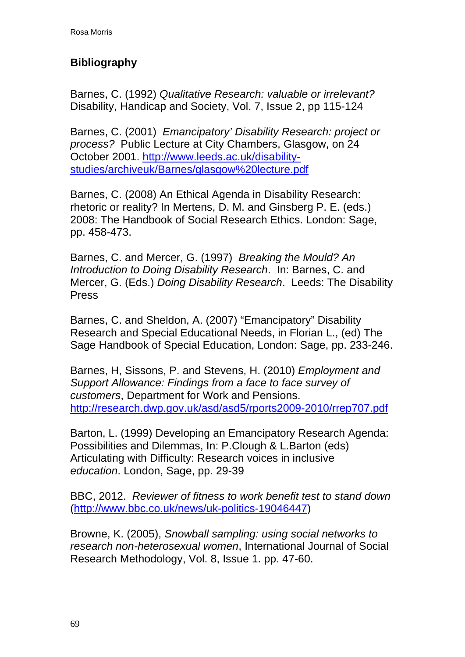# **Bibliography**

Barnes, C. (1992) *Qualitative Research: valuable or irrelevant?*  Disability, Handicap and Society, Vol. 7, Issue 2, pp 115-124

Barnes, C. (2001) *Emancipatory' Disability Research: project or process?* Public Lecture at City Chambers, Glasgow, on 24 October 2001. [http://www.leeds.ac.uk/disability](http://www.leeds.ac.uk/disability-studies/archiveuk/Barnes/glasgow%20lecture.pdf)[studies/archiveuk/Barnes/glasgow%20lecture.pdf](http://www.leeds.ac.uk/disability-studies/archiveuk/Barnes/glasgow%20lecture.pdf)

Barnes, C. (2008) An Ethical Agenda in Disability Research: rhetoric or reality? In Mertens, D. M. and Ginsberg P. E. (eds.) 2008: The Handbook of Social Research Ethics. London: Sage, pp. 458-473.

Barnes, C. and Mercer, G. (1997) *Breaking the Mould? An Introduction to Doing Disability Research*. In: Barnes, C. and Mercer, G. (Eds.) *Doing Disability Research*. Leeds: The Disability Press

Barnes, C. and Sheldon, A. (2007) "Emancipatory" Disability Research and Special Educational Needs, in Florian L., (ed) The Sage Handbook of Special Education, London: Sage, pp. 233-246.

Barnes, H, Sissons, P. and Stevens, H. (2010) *Employment and Support Allowance: Findings from a face to face survey of customers*, Department for Work and Pensions. [http://research.dwp.gov.uk/asd/asd5/rports2009-2010/rrep707.pdf](http://research.dwp.gov.uk/asd/asd5/rports2009-2010/rrep707.pdf%20p.4) 

Barton, L. (1999) Developing an Emancipatory Research Agenda: Possibilities and Dilemmas, In: P.Clough & L.Barton (eds) Articulating with Difficulty: Research voices in inclusive *education*. London, Sage, pp. 29-39

BBC, 2012. *Reviewer of fitness to work benefit test to stand down* ([http://www.bbc.co.uk/news/uk-politics-19046447\)](http://www.bbc.co.uk/news/uk-politics-19046447)

Browne, K. (2005), *Snowball sampling: using social networks to research non-heterosexual women*, International Journal of Social Research Methodology, Vol. 8, Issue 1. pp. 47-60.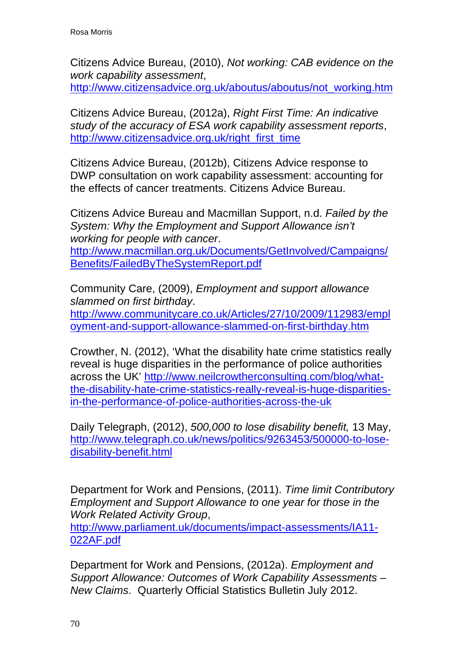Citizens Advice Bureau, (2010), *Not working: CAB evidence on the work capability assessment*,

[http://www.citizensadvice.org.uk/aboutus/aboutus/not\\_working.htm](http://www.citizensadvice.org.uk/aboutus/aboutus/not_working.htm)

Citizens Advice Bureau, (2012a), *Right First Time: An indicative study of the accuracy of ESA work capability assessment reports*, http://www.citizensadvice.org.uk/right\_first\_time

Citizens Advice Bureau, (2012b), Citizens Advice response to DWP consultation on work capability assessment: accounting for the effects of cancer treatments. Citizens Advice Bureau.

Citizens Advice Bureau and Macmillan Support, n.d. *Failed by the System: Why the Employment and Support Allowance isn't working for people with cancer*.

[http://www.macmillan.org.uk/Documents/GetInvolved/Campaigns/](http://www.macmillan.org.uk/Documents/GetInvolved/Campaigns/Benefits/FailedByTheSystemReport.pdf) [Benefits/FailedByTheSystemReport.pdf](http://www.macmillan.org.uk/Documents/GetInvolved/Campaigns/Benefits/FailedByTheSystemReport.pdf)

Community Care, (2009), *Employment and support allowance slammed on first birthday*.

[http://www.communitycare.co.uk/Articles/27/10/2009/112983/empl](http://www.communitycare.co.uk/Articles/27/10/2009/112983/employment-and-support-allowance-slammed-on-first-birthday.htm) [oyment-and-support-allowance-slammed-on-first-birthday.htm](http://www.communitycare.co.uk/Articles/27/10/2009/112983/employment-and-support-allowance-slammed-on-first-birthday.htm) 

Crowther, N. (2012), 'What the disability hate crime statistics really reveal is huge disparities in the performance of police authorities across the UK' [http://www.neilcrowtherconsulting.com/blog/what](http://www.neilcrowtherconsulting.com/blog/what-the-disability-hate-crime-statistics-really-reveal-is-huge-disparities-in-the-performance-of-police-authorities-across-the-uk)[the-disability-hate-crime-statistics-really-reveal-is-huge-disparities](http://www.neilcrowtherconsulting.com/blog/what-the-disability-hate-crime-statistics-really-reveal-is-huge-disparities-in-the-performance-of-police-authorities-across-the-uk)[in-the-performance-of-police-authorities-across-the-uk](http://www.neilcrowtherconsulting.com/blog/what-the-disability-hate-crime-statistics-really-reveal-is-huge-disparities-in-the-performance-of-police-authorities-across-the-uk)

Daily Telegraph, (2012), *500,000 to lose disability benefit,* 13 May, [http://www.telegraph.co.uk/news/politics/9263453/500000-to-lose](http://www.telegraph.co.uk/news/politics/9263453/500000-to-lose-disability-benefit.html)[disability-benefit.html](http://www.telegraph.co.uk/news/politics/9263453/500000-to-lose-disability-benefit.html)

Department for Work and Pensions, (2011). *Time limit Contributory Employment and Support Allowance to one year for those in the Work Related Activity Group*,

[http://www.parliament.uk/documents/impact-assessments/IA11-](http://www.parliament.uk/documents/impact-assessments/IA11-022AF.pdf) [022AF.pdf](http://www.parliament.uk/documents/impact-assessments/IA11-022AF.pdf) 

Department for Work and Pensions, (2012a). *Employment and Support Allowance: Outcomes of Work Capability Assessments – New Claims*. Quarterly Official Statistics Bulletin July 2012.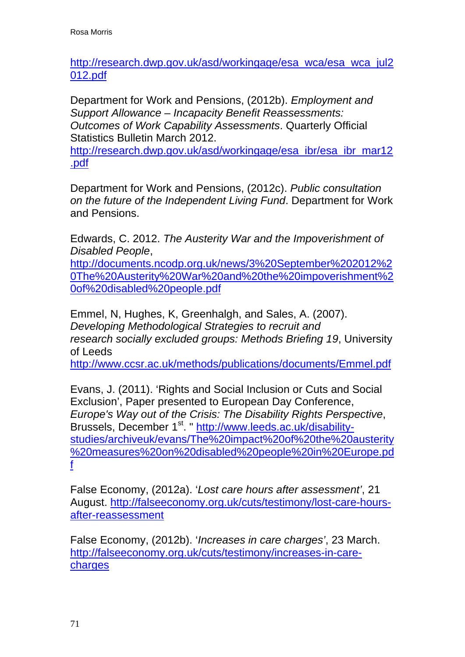[http://research.dwp.gov.uk/asd/workingage/esa\\_wca/esa\\_wca\\_jul2](http://research.dwp.gov.uk/asd/workingage/esa_wca/esa_wca_jul2012.pdf) [012.pdf](http://research.dwp.gov.uk/asd/workingage/esa_wca/esa_wca_jul2012.pdf)

Department for Work and Pensions, (2012b). *Employment and Support Allowance – Incapacity Benefit Reassessments: Outcomes of Work Capability Assessments*. Quarterly Official Statistics Bulletin March 2012.

[http://research.dwp.gov.uk/asd/workingage/esa\\_ibr/esa\\_ibr\\_mar12](http://research.dwp.gov.uk/asd/workingage/esa_ibr/esa_ibr_mar12.pdf) [.pdf](http://research.dwp.gov.uk/asd/workingage/esa_ibr/esa_ibr_mar12.pdf)

Department for Work and Pensions, (2012c). *Public consultation on the future of the Independent Living Fund*. Department for Work and Pensions.

Edwards, C. 2012. *The Austerity War and the Impoverishment of Disabled People*,

[http://documents.ncodp.org.uk/news/3%20September%202012%2](http://documents.ncodp.org.uk/news/3%20September%202012%20The%20Austerity%20War%20and%20the%20impoverishment%20of%20disabled%20people.pdf) [0The%20Austerity%20War%20and%20the%20impoverishment%2](http://documents.ncodp.org.uk/news/3%20September%202012%20The%20Austerity%20War%20and%20the%20impoverishment%20of%20disabled%20people.pdf) [0of%20disabled%20people.pdf](http://documents.ncodp.org.uk/news/3%20September%202012%20The%20Austerity%20War%20and%20the%20impoverishment%20of%20disabled%20people.pdf)

Emmel, N, Hughes, K, Greenhalgh, and Sales, A. (2007). *Developing Methodological Strategies to recruit and research socially excluded groups: Methods Briefing 19*, University of Leeds

<http://www.ccsr.ac.uk/methods/publications/documents/Emmel.pdf>

Evans, J. (2011). 'Rights and Social Inclusion or Cuts and Social Exclusion', Paper presented to European Day Conference, *Europe's Way out of the Crisis: The Disability Rights Perspective*, Brussels, December 1st. " [http://www.leeds.ac.uk/disability](http://www.leeds.ac.uk/disability-studies/archiveuk/evans/The%20impact%20of%20the%20austerity%20measures%20on%20disabled%20people%20in%20Europe.pdf)[studies/archiveuk/evans/The%20impact%20of%20the%20austerity](http://www.leeds.ac.uk/disability-studies/archiveuk/evans/The%20impact%20of%20the%20austerity%20measures%20on%20disabled%20people%20in%20Europe.pdf) [%20measures%20on%20disabled%20people%20in%20Europe.pd](http://www.leeds.ac.uk/disability-studies/archiveuk/evans/The%20impact%20of%20the%20austerity%20measures%20on%20disabled%20people%20in%20Europe.pdf) [f](http://www.leeds.ac.uk/disability-studies/archiveuk/evans/The%20impact%20of%20the%20austerity%20measures%20on%20disabled%20people%20in%20Europe.pdf)

False Economy, (2012a). '*Lost care hours after assessment'*, 21 August. [http://falseeconomy.org.uk/cuts/testimony/lost-care-hours](http://falseeconomy.org.uk/cuts/testimony/lost-care-hours-after-reassessment)[after-reassessment](http://falseeconomy.org.uk/cuts/testimony/lost-care-hours-after-reassessment)

False Economy, (2012b). '*Increases in care charges'*, 23 March. [http://falseeconomy.org.uk/cuts/testimony/increases-in-care](http://falseeconomy.org.uk/cuts/testimony/increases-in-care-charges)[charges](http://falseeconomy.org.uk/cuts/testimony/increases-in-care-charges)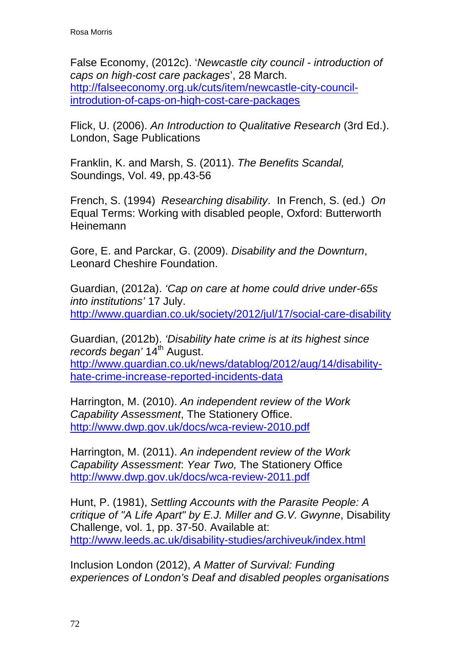False Economy, (2012c). '*Newcastle city council - introduction of caps on high-cost care packages*', 28 March. [http://falseeconomy.org.uk/cuts/item/newcastle-city-council](http://falseeconomy.org.uk/cuts/item/newcastle-city-council-introdution-of-caps-on-high-cost-care-packages)[introdution-of-caps-on-high-cost-care-packages](http://falseeconomy.org.uk/cuts/item/newcastle-city-council-introdution-of-caps-on-high-cost-care-packages)

Flick, U. (2006). *An Introduction to Qualitative Research* (3rd Ed.). London, Sage Publications

Franklin, K. and Marsh, S. (2011). *The Benefits Scandal,*  Soundings, Vol. 49, pp.43-56

French, S. (1994) *Researching disability*. In French, S. (ed.) *On*  Equal Terms: Working with disabled people, Oxford: Butterworth **Heinemann** 

Gore, E. and Parckar, G. (2009). *Disability and the Downturn*, Leonard Cheshire Foundation.

Guardian, (2012a). *'Cap on care at home could drive under-65s into institutions'* 17 July. <http://www.guardian.co.uk/society/2012/jul/17/social-care-disability>

Guardian, (2012b). *'Disability hate crime is at its highest since records began'* 14<sup>th</sup> August. [http://www.guardian.co.uk/news/datablog/2012/aug/14/disability](http://www.guardian.co.uk/news/datablog/2012/aug/14/disability-hate-crime-increase-reported-incidents-data)[hate-crime-increase-reported-incidents-data](http://www.guardian.co.uk/news/datablog/2012/aug/14/disability-hate-crime-increase-reported-incidents-data)

Harrington, M. (2010). *An independent review of the Work Capability Assessment*, The Stationery Office. <http://www.dwp.gov.uk/docs/wca-review-2010.pdf>

Harrington, M. (2011). *An independent review of the Work Capability Assessment*: *Year Two,* The Stationery Office <http://www.dwp.gov.uk/docs/wca-review-2011.pdf>

Hunt, P. (1981), *Settling Accounts with the Parasite People: A critique of "A Life Apart" by E.J. Miller and G.V. Gwynne*, Disability Challenge, vol. 1, pp. 37-50. Available at: <http://www.leeds.ac.uk/disability-studies/archiveuk/index.html>

Inclusion London (2012), *A Matter of Survival: Funding experiences of London's Deaf and disabled peoples organisations*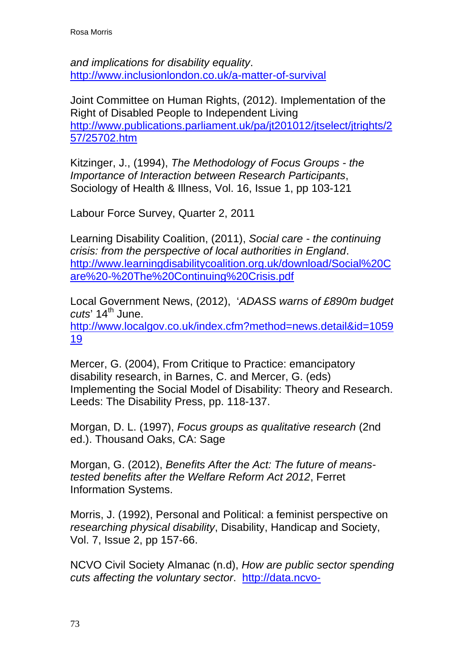*and implications for disability equality*. <http://www.inclusionlondon.co.uk/a-matter-of-survival>

Joint Committee on Human Rights, (2012). Implementation of the Right of Disabled People to Independent Living [http://www.publications.parliament.uk/pa/jt201012/jtselect/jtrights/2](http://www.publications.parliament.uk/pa/jt201012/jtselect/jtrights/257/25702.htm) [57/25702.htm](http://www.publications.parliament.uk/pa/jt201012/jtselect/jtrights/257/25702.htm) 

Kitzinger, J., (1994), *The Methodology of Focus Groups - the Importance of Interaction between Research Participants*, Sociology of Health & Illness, Vol. 16, Issue 1, pp 103-121

Labour Force Survey, Quarter 2, 2011

Learning Disability Coalition, (2011), *Social care - the continuing crisis: from the perspective of local authorities in England*. [http://www.learningdisabilitycoalition.org.uk/download/Social%20C](http://www.learningdisabilitycoalition.org.uk/download/Social%20Care%20-%20The%20Continuing%20Crisis.pdf) [are%20-%20The%20Continuing%20Crisis.pdf](http://www.learningdisabilitycoalition.org.uk/download/Social%20Care%20-%20The%20Continuing%20Crisis.pdf)

Local Government News, (2012), '*ADASS warns of £890m budget*  cuts' 14<sup>th</sup> June. [http://www.localgov.co.uk/index.cfm?method=news.detail&id=1059](http://www.localgov.co.uk/index.cfm?method=news.detail&id=105919) [19](http://www.localgov.co.uk/index.cfm?method=news.detail&id=105919) 

Mercer, G. (2004), From Critique to Practice: emancipatory disability research, in Barnes, C. and Mercer, G. (eds) Implementing the Social Model of Disability: Theory and Research. Leeds: The Disability Press, pp. 118-137.

Morgan, D. L. (1997), *Focus groups as qualitative research* (2nd ed.). Thousand Oaks, CA: Sage

Morgan, G. (2012), *Benefits After the Act: The future of meanstested benefits after the Welfare Reform Act 2012*, Ferret Information Systems.

Morris, J. (1992), Personal and Political: a feminist perspective on *researching physical disability*, Disability, Handicap and Society, Vol. 7, Issue 2, pp 157-66.

NCVO Civil Society Almanac (n.d), *How are public sector spending cuts affecting the voluntary sector*. [http://data.ncvo-](http://data.ncvo-vol.org.uk/almanac/voluntary-sector/income-in-focus/how-are-public-sector-spending-cuts-affecting-the-voluntary-sector/)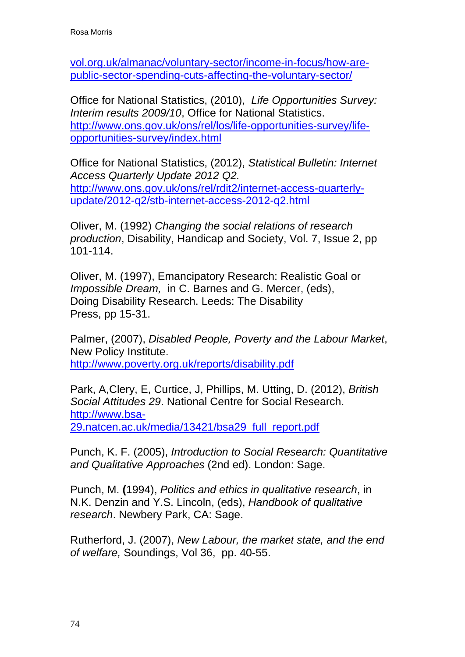[vol.org.uk/almanac/voluntary-sector/income-in-focus/how-are](http://data.ncvo-vol.org.uk/almanac/voluntary-sector/income-in-focus/how-are-public-sector-spending-cuts-affecting-the-voluntary-sector/)[public-sector-spending-cuts-affecting-the-voluntary-sector/](http://data.ncvo-vol.org.uk/almanac/voluntary-sector/income-in-focus/how-are-public-sector-spending-cuts-affecting-the-voluntary-sector/)

Office for National Statistics, (2010), *Life Opportunities Survey: Interim results 2009/10*, Office for National Statistics. [http://www.ons.gov.uk/ons/rel/los/life-opportunities-survey/life](http://www.ons.gov.uk/ons/rel/los/life-opportunities-survey/life-opportunities-survey/index.html)[opportunities-survey/index.html](http://www.ons.gov.uk/ons/rel/los/life-opportunities-survey/life-opportunities-survey/index.html) 

Office for National Statistics, (2012), *Statistical Bulletin: Internet Access Quarterly Update 2012 Q2.*  [http://www.ons.gov.uk/ons/rel/rdit2/internet-access-quarterly](http://www.ons.gov.uk/ons/rel/rdit2/internet-access-quarterly-update/2012-q2/stb-internet-access-2012-q2.html)[update/2012-q2/stb-internet-access-2012-q2.html](http://www.ons.gov.uk/ons/rel/rdit2/internet-access-quarterly-update/2012-q2/stb-internet-access-2012-q2.html)

Oliver, M. (1992) *Changing the social relations of research production*, Disability, Handicap and Society, Vol. 7, Issue 2, pp 101-114.

Oliver, M. (1997), Emancipatory Research: Realistic Goal or *Impossible Dream,* in C. Barnes and G. Mercer, (eds), Doing Disability Research. Leeds: The Disability Press, pp 15-31.

Palmer, (2007), *Disabled People, Poverty and the Labour Market*, New Policy Institute. <http://www.poverty.org.uk/reports/disability.pdf>

Park, A,Clery, E, Curtice, J, Phillips, M. Utting, D. (2012), *British Social Attitudes 29*. National Centre for Social Research. [http://www.bsa-](http://www.bsa-29.natcen.ac.uk/media/13421/bsa29_full_report.pdf)[29.natcen.ac.uk/media/13421/bsa29\\_full\\_report.pdf](http://www.bsa-29.natcen.ac.uk/media/13421/bsa29_full_report.pdf)

Punch, K. F. (2005), *Introduction to Social Research: Quantitative and Qualitative Approaches* (2nd ed). London: Sage.

Punch, M. **(**1994), *Politics and ethics in qualitative research*, in N.K. Denzin and Y.S. Lincoln, (eds), *Handbook of qualitative research*. Newbery Park, CA: Sage.

Rutherford, J. (2007), *New Labour, the market state, and the end of welfare,* Soundings, Vol 36, pp. 40-55.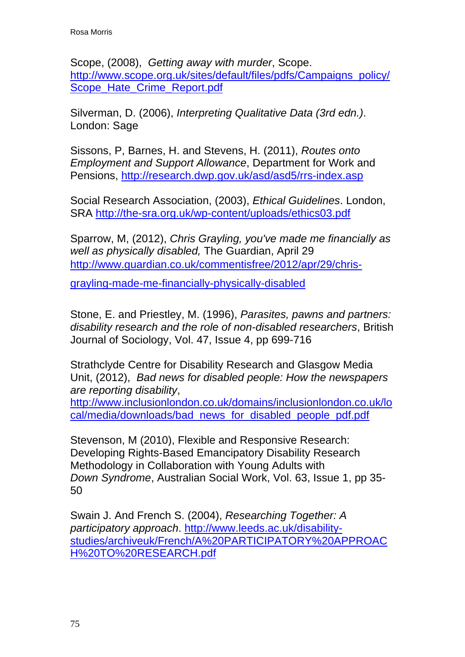Scope, (2008), *Getting away with murder*, Scope. [http://www.scope.org.uk/sites/default/files/pdfs/Campaigns\\_policy/](http://www.scope.org.uk/sites/default/files/pdfs/Campaigns_policy/Scope_Hate_Crime_Report.pdf) Scope Hate Crime Report.pdf

Silverman, D. (2006), *Interpreting Qualitative Data (3rd edn.)*. London: Sage

Sissons, P, Barnes, H. and Stevens, H. (2011), *Routes onto Employment and Support Allowance*, Department for Work and Pensions,<http://research.dwp.gov.uk/asd/asd5/rrs-index.asp>

Social Research Association, (2003), *Ethical Guidelines*. London, SRA <http://the-sra.org.uk/wp-content/uploads/ethics03.pdf>

Sparrow, M, (2012), *Chris Grayling, you've made me financially as well as physically disabled,* The Guardian, April 29 [http://www.guardian.co.uk/commentisfree/2012/apr/29/chris-](http://www.guardian.co.uk/commentisfree/2012/apr/29/chris-grayling-made-me-financially-physically-disabled)

[grayling-made-me-financially-physically-disabled](http://www.guardian.co.uk/commentisfree/2012/apr/29/chris-grayling-made-me-financially-physically-disabled)

Stone, E. and Priestley, M. (1996), *Parasites, pawns and partners: disability research and the role of non-disabled researchers*, British Journal of Sociology, Vol. 47, Issue 4, pp 699-716

Strathclyde Centre for Disability Research and Glasgow Media Unit, (2012), *Bad news for disabled people: How the newspapers are reporting disability*,

[http://www.inclusionlondon.co.uk/domains/inclusionlondon.co.uk/lo](http://www.inclusionlondon.co.uk/domains/inclusionlondon.co.uk/local/media/downloads/bad_news_for_disabled_people_pdf.pdf) [cal/media/downloads/bad\\_news\\_for\\_disabled\\_people\\_pdf.pdf](http://www.inclusionlondon.co.uk/domains/inclusionlondon.co.uk/local/media/downloads/bad_news_for_disabled_people_pdf.pdf)

Stevenson, M (2010), Flexible and Responsive Research: Developing Rights-Based Emancipatory Disability Research Methodology in Collaboration with Young Adults with *Down Syndrome*, Australian Social Work, Vol. 63, Issue 1, pp 35- 50

Swain J. And French S. (2004), *Researching Together: A participatory approach*. [http://www.leeds.ac.uk/disability](http://www.leeds.ac.uk/disability-studies/archiveuk/French/A%20PARTICIPATORY%20APPROACH%20TO%20RESEARCH.pdf)[studies/archiveuk/French/A%20PARTICIPATORY%20APPROAC](http://www.leeds.ac.uk/disability-studies/archiveuk/French/A%20PARTICIPATORY%20APPROACH%20TO%20RESEARCH.pdf) [H%20TO%20RESEARCH.pdf](http://www.leeds.ac.uk/disability-studies/archiveuk/French/A%20PARTICIPATORY%20APPROACH%20TO%20RESEARCH.pdf)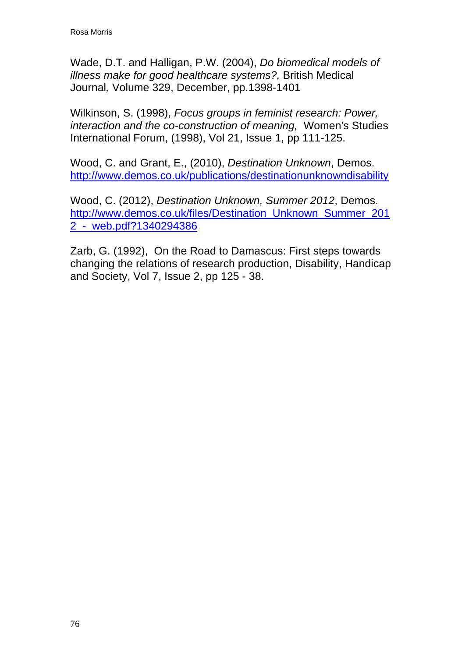Wade, D.T. and Halligan, P.W. (2004), *Do biomedical models of illness make for good healthcare systems?,* British Medical Journal*,* Volume 329, December, pp.1398-1401

Wilkinson, S. (1998), *Focus groups in feminist research: Power, interaction and the co-construction of meaning,* Women's Studies International Forum, (1998), Vol 21, Issue 1, pp 111-125.

Wood, C. and Grant, E., (2010), *Destination Unknown*, Demos. <http://www.demos.co.uk/publications/destinationunknowndisability>

Wood, C. (2012), *Destination Unknown, Summer 2012*, Demos. [http://www.demos.co.uk/files/Destination\\_Unknown\\_Summer\\_201](http://www.demos.co.uk/files/Destination_Unknown_Summer_2012_-_web.pdf?1340294386) [2\\_-\\_web.pdf?1340294386](http://www.demos.co.uk/files/Destination_Unknown_Summer_2012_-_web.pdf?1340294386) 

Zarb, G. (1992), On the Road to Damascus: First steps towards changing the relations of research production, Disability, Handicap and Society, Vol 7, Issue 2, pp 125 - 38.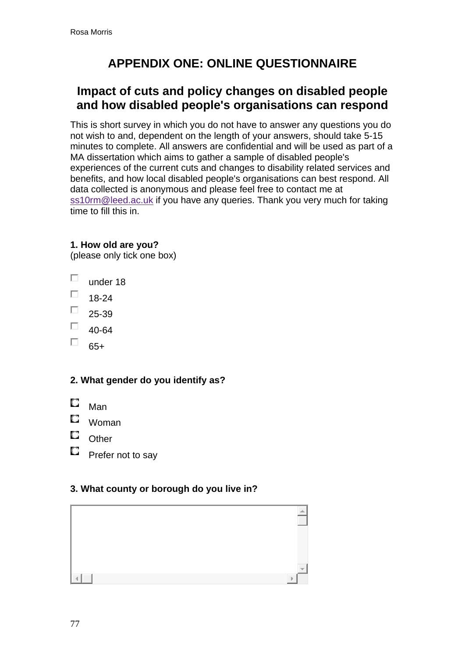# **APPENDIX ONE: ONLINE QUESTIONNAIRE**

# **Impact of cuts and policy changes on disabled people and how disabled people's organisations can respond**

This is short survey in which you do not have to answer any questions you do not wish to and, dependent on the length of your answers, should take 5-15 minutes to complete. All answers are confidential and will be used as part of a MA dissertation which aims to gather a sample of disabled people's experiences of the current cuts and changes to disability related services and benefits, and how local disabled people's organisations can best respond. All data collected is anonymous and please feel free to contact me at [ss10rm@leed.ac.uk](mailto:ss10rm@leed.ac.uk) if you have any queries. Thank you very much for taking time to fill this in.

### **1. How old are you?**

(please only tick one box)

- П under 18
- $\Box$  18-24
- $\Box$ 25-39
- П 40-64
- П 65+

### **2. What gender do you identify as?**

- О Man
- O. Woman
- O. **Other**
- O. Prefer not to say

#### **3. What county or borough do you live in?**

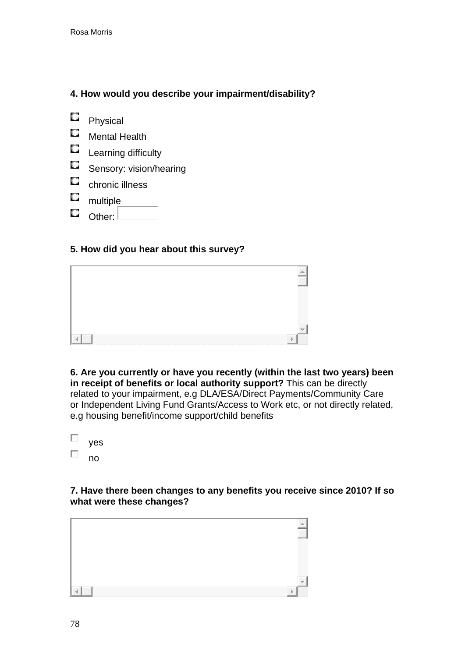### **4. How would you describe your impairment/disability?**

О Physical

- О Mental Health
- $\Box$ Learning difficulty
- О Sensory: vision/hearing
- О chronic illness
- $\Box$ multiple
- О Other:

#### **5. How did you hear about this survey?**



**6. Are you currently or have you recently (within the last two years) been in receipt of benefits or local authority support?** This can be directly related to your impairment, e.g DLA/ESA/Direct Payments/Community Care or Independent Living Fund Grants/Access to Work etc, or not directly related, e.g housing benefit/income support/child benefits

| yes |  |
|-----|--|
| no  |  |

#### **7. Have there been changes to any benefits you receive since 2010? If so what were these changes?**

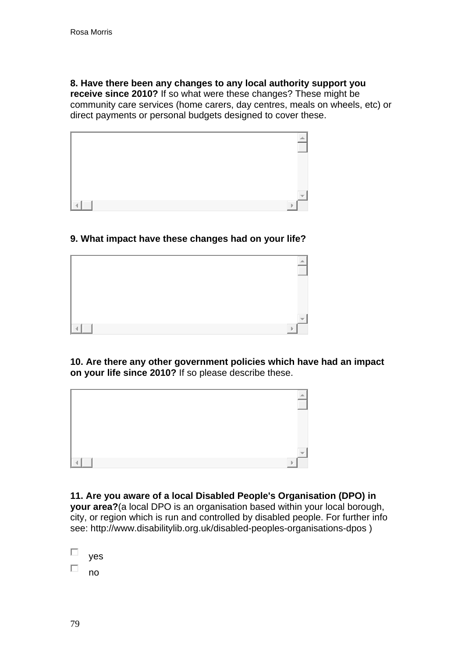#### **8. Have there been any changes to any local authority support you**

**receive since 2010?** If so what were these changes? These might be community care services (home carers, day centres, meals on wheels, etc) or direct payments or personal budgets designed to cover these.



#### **9. What impact have these changes had on your life?**



**10. Are there any other government policies which have had an impact on your life since 2010?** If so please describe these.



**11. Are you aware of a local Disabled People's Organisation (DPO) in your area?**(a local DPO is an organisation based within your local borough, city, or region which is run and controlled by disabled people. For further info see: http://www.disabilitylib.org.uk/disabled-peoples-organisations-dpos )

| yes |
|-----|
| no  |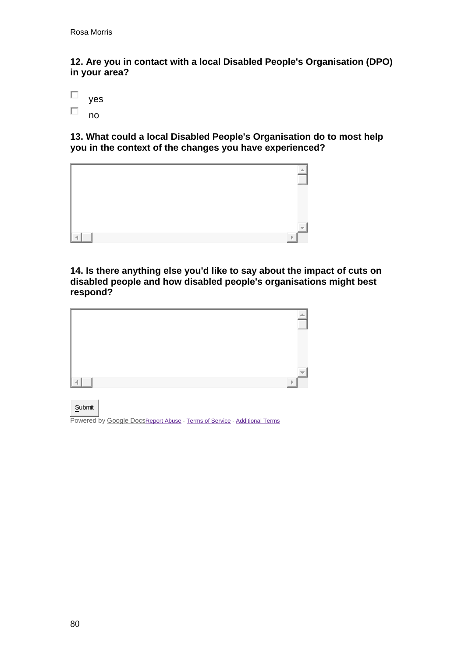**12. Are you in contact with a local Disabled People's Organisation (DPO) in your area?** 



**13. What could a local Disabled People's Organisation do to most help you in the context of the changes you have experienced?** 



**14. Is there anything else you'd like to say about the impact of cuts on disabled people and how disabled people's organisations might best respond?** 



Submit

Powered by [Google Docs](http://docs.google.com/)[Report Abuse](https://docs.google.com/spreadsheet/reportabuse?pli=1&pli=1&formkey=dDduVFpVZU9UUnBQN3puaUIzMmZYVWc6MQ&source=https://docs.google.com/spreadsheet/viewform?pli%3D1%26formkey%3DdDduVFpVZU9UUnBQN3puaUIzMmZYVWc6MQ) - [Terms of Service](http://www.google.com/accounts/TOS) - [Additional Terms](http://www.google.com/google-d-s/terms.html)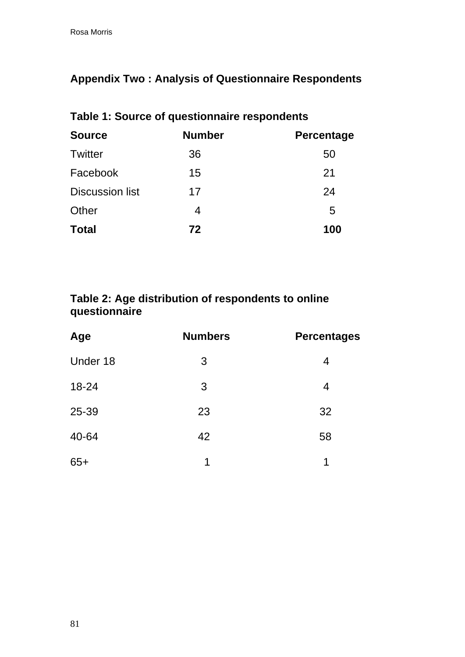# **Appendix Two : Analysis of Questionnaire Respondents**

| Table 1: Source of questionnaire respondents |               |                   |  |  |
|----------------------------------------------|---------------|-------------------|--|--|
| <b>Source</b>                                | <b>Number</b> | <b>Percentage</b> |  |  |
| <b>Twitter</b>                               | 36            | 50                |  |  |
| Facebook                                     | 15            | 21                |  |  |
| <b>Discussion list</b>                       | 17            | 24                |  |  |
| Other                                        | 4             | 5                 |  |  |
| <b>Total</b>                                 | 72            | 100               |  |  |

# **Table 2: Age distribution of respondents to online questionnaire**

| Age      | <b>Numbers</b> | <b>Percentages</b> |
|----------|----------------|--------------------|
| Under 18 | 3              | 4                  |
| 18-24    | 3              | 4                  |
| 25-39    | 23             | 32                 |
| 40-64    | 42             | 58                 |
| $65+$    | 1              | 1                  |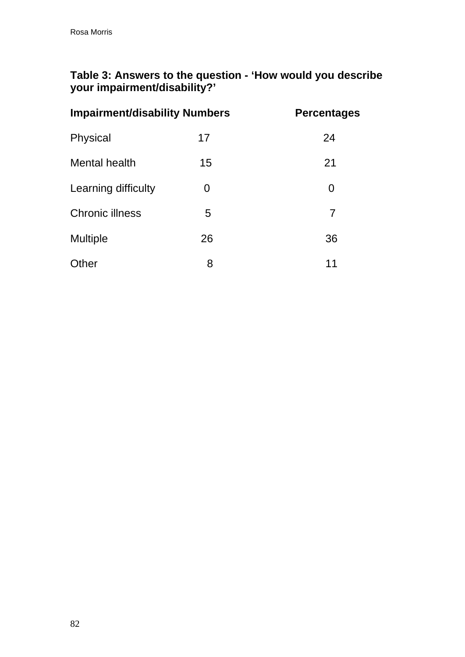### **Table 3: Answers to the question - 'How would you describe your impairment/disability?'**

| <b>Impairment/disability Numbers</b> |    | <b>Percentages</b> |
|--------------------------------------|----|--------------------|
| Physical                             | 17 | 24                 |
| Mental health                        | 15 | 21                 |
| Learning difficulty                  | O  | 0                  |
| <b>Chronic illness</b>               | 5  | 7                  |
| <b>Multiple</b>                      | 26 | 36                 |
| Other                                | 8  | 11                 |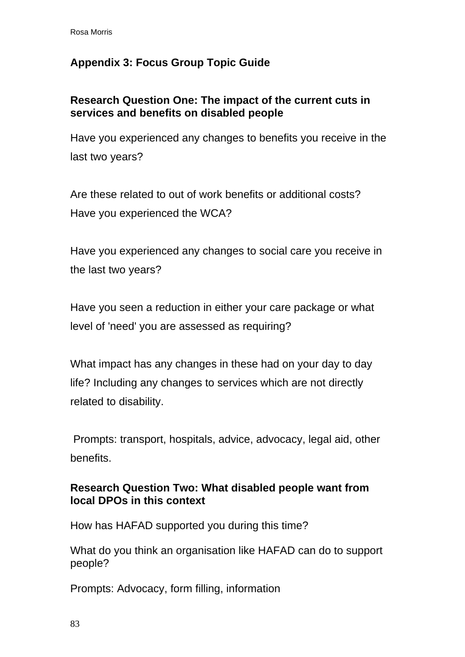## **Appendix 3: Focus Group Topic Guide**

### **Research Question One: The impact of the current cuts in services and benefits on disabled people**

Have you experienced any changes to benefits you receive in the last two years?

Are these related to out of work benefits or additional costs? Have you experienced the WCA?

Have you experienced any changes to social care you receive in the last two years?

Have you seen a reduction in either your care package or what level of 'need' you are assessed as requiring?

What impact has any changes in these had on your day to day life? Including any changes to services which are not directly related to disability.

 Prompts: transport, hospitals, advice, advocacy, legal aid, other benefits.

### **Research Question Two: What disabled people want from local DPOs in this context**

How has HAFAD supported you during this time?

What do you think an organisation like HAFAD can do to support people?

Prompts: Advocacy, form filling, information